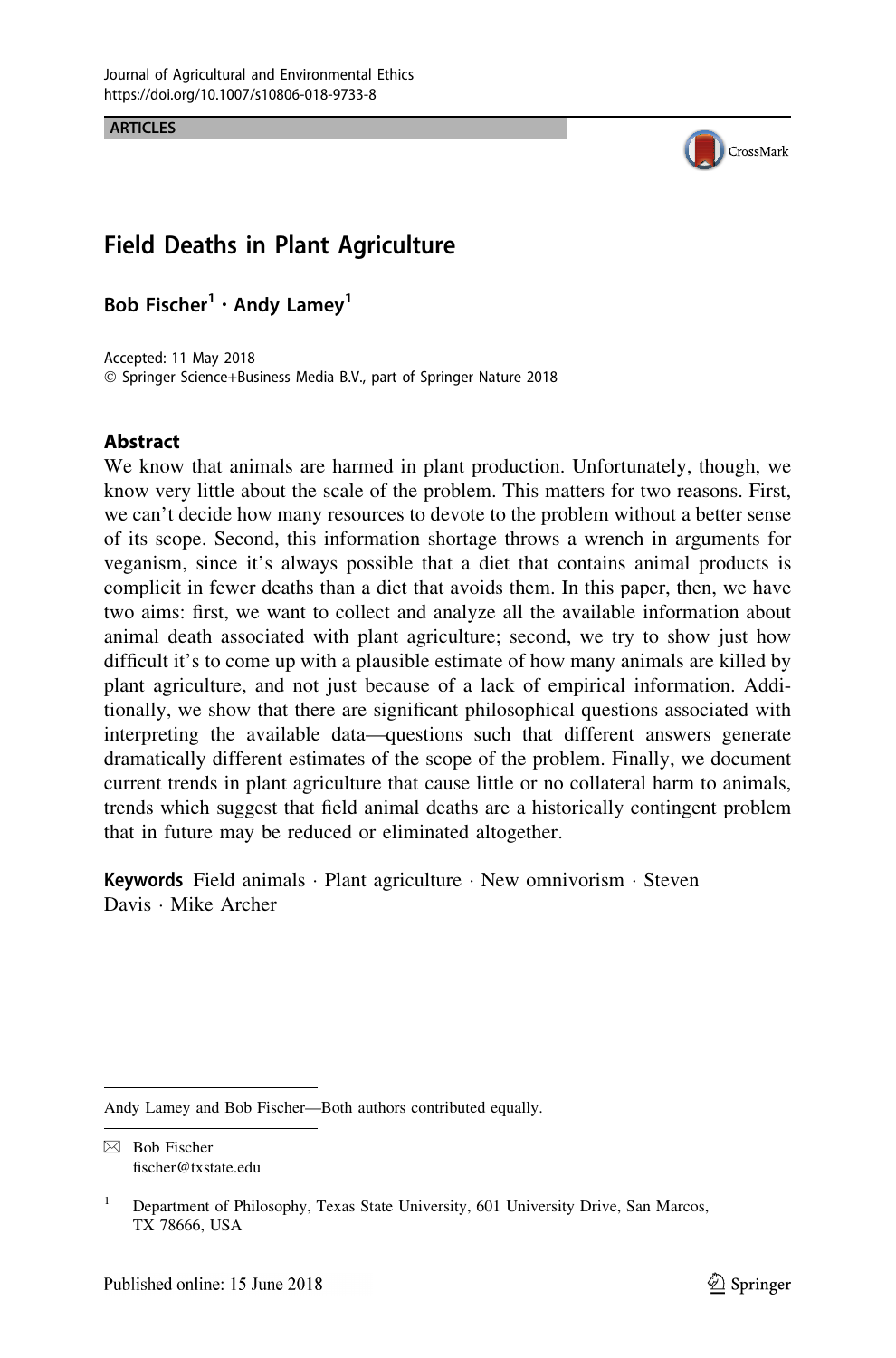**ARTICLES** 



# Field Deaths in Plant Agriculture

Bob Fischer<sup>1</sup> · Andy Lamev<sup>1</sup>

Accepted: 11 May 2018 - Springer Science+Business Media B.V., part of Springer Nature 2018

#### Abstract

We know that animals are harmed in plant production. Unfortunately, though, we know very little about the scale of the problem. This matters for two reasons. First, we can't decide how many resources to devote to the problem without a better sense of its scope. Second, this information shortage throws a wrench in arguments for veganism, since it's always possible that a diet that contains animal products is complicit in fewer deaths than a diet that avoids them. In this paper, then, we have two aims: first, we want to collect and analyze all the available information about animal death associated with plant agriculture; second, we try to show just how difficult it's to come up with a plausible estimate of how many animals are killed by plant agriculture, and not just because of a lack of empirical information. Additionally, we show that there are significant philosophical questions associated with interpreting the available data—questions such that different answers generate dramatically different estimates of the scope of the problem. Finally, we document current trends in plant agriculture that cause little or no collateral harm to animals, trends which suggest that field animal deaths are a historically contingent problem that in future may be reduced or eliminated altogether.

Keywords Field animals · Plant agriculture · New omnivorism · Steven Davis - Mike Archer

 $\boxtimes$  Bob Fischer fischer@txstate.edu

Andy Lamey and Bob Fischer—Both authors contributed equally.

<sup>&</sup>lt;sup>1</sup> Department of Philosophy, Texas State University, 601 University Drive, San Marcos, TX 78666, USA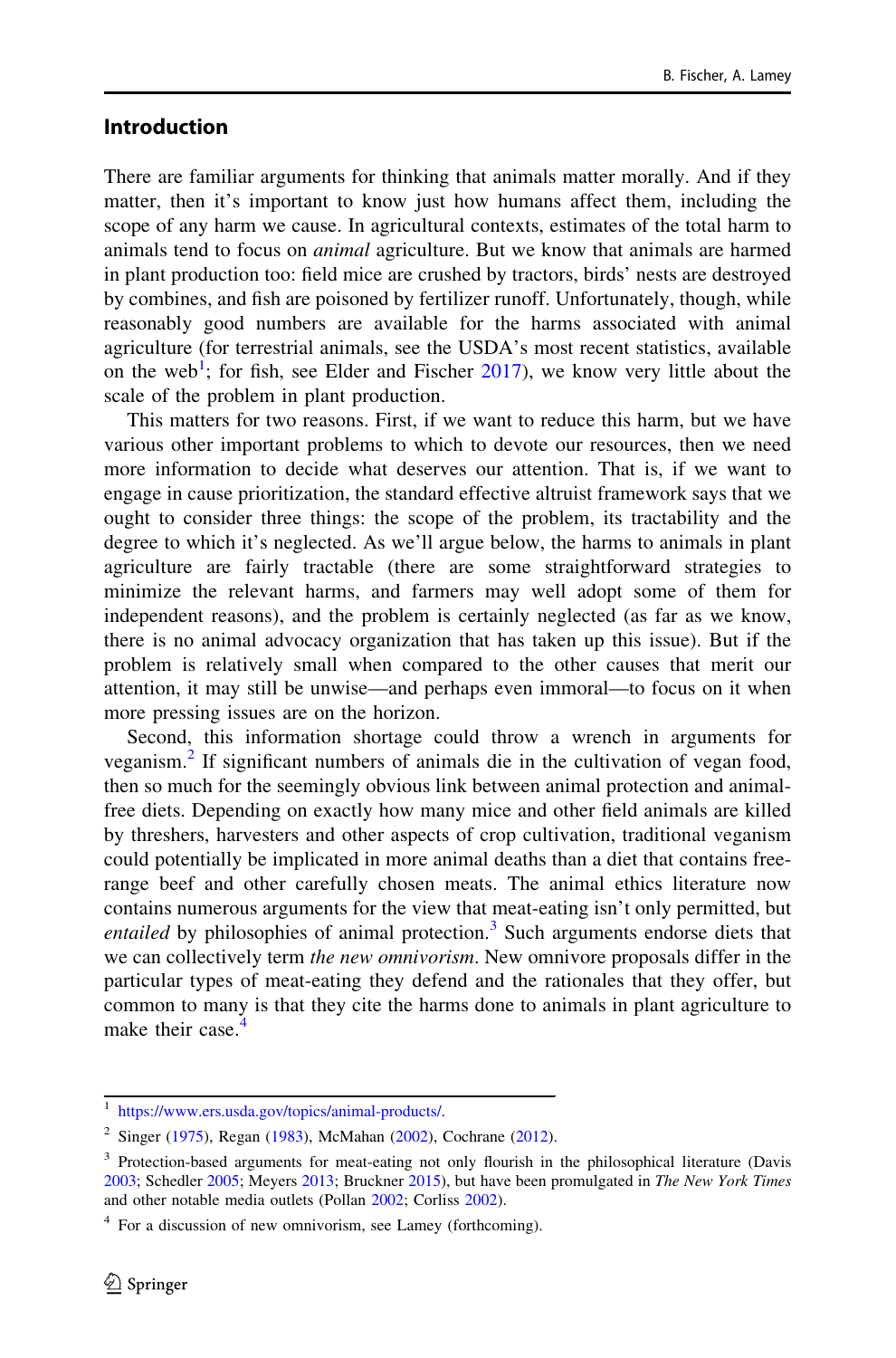## Introduction

There are familiar arguments for thinking that animals matter morally. And if they matter, then it's important to know just how humans affect them, including the scope of any harm we cause. In agricultural contexts, estimates of the total harm to animals tend to focus on animal agriculture. But we know that animals are harmed in plant production too: field mice are crushed by tractors, birds' nests are destroyed by combines, and fish are poisoned by fertilizer runoff. Unfortunately, though, while reasonably good numbers are available for the harms associated with animal agriculture (for terrestrial animals, see the USDA's most recent statistics, available on the web<sup>1</sup>; for fish, see Elder and Fischer [2017](#page-17-0)), we know very little about the scale of the problem in plant production.

This matters for two reasons. First, if we want to reduce this harm, but we have various other important problems to which to devote our resources, then we need more information to decide what deserves our attention. That is, if we want to engage in cause prioritization, the standard effective altruist framework says that we ought to consider three things: the scope of the problem, its tractability and the degree to which it's neglected. As we'll argue below, the harms to animals in plant agriculture are fairly tractable (there are some straightforward strategies to minimize the relevant harms, and farmers may well adopt some of them for independent reasons), and the problem is certainly neglected (as far as we know, there is no animal advocacy organization that has taken up this issue). But if the problem is relatively small when compared to the other causes that merit our attention, it may still be unwise—and perhaps even immoral—to focus on it when more pressing issues are on the horizon.

Second, this information shortage could throw a wrench in arguments for veganism.<sup>2</sup> If significant numbers of animals die in the cultivation of vegan food, then so much for the seemingly obvious link between animal protection and animalfree diets. Depending on exactly how many mice and other field animals are killed by threshers, harvesters and other aspects of crop cultivation, traditional veganism could potentially be implicated in more animal deaths than a diet that contains freerange beef and other carefully chosen meats. The animal ethics literature now contains numerous arguments for the view that meat-eating isn't only permitted, but entailed by philosophies of animal protection. $3$  Such arguments endorse diets that we can collectively term the new omnivorism. New omnivore proposals differ in the particular types of meat-eating they defend and the rationales that they offer, but common to many is that they cite the harms done to animals in plant agriculture to make their case.<sup>4</sup>

<sup>1</sup> [https://www.ers.usda.gov/topics/animal-products/.](https://www.ers.usda.gov/topics/animal-products/)

<sup>2</sup> Singer [\(1975\)](#page-19-0), Regan ([1983\)](#page-19-0), McMahan [\(2002\)](#page-18-0), Cochrane [\(2012](#page-17-0)).

<sup>&</sup>lt;sup>3</sup> Protection-based arguments for meat-eating not only flourish in the philosophical literature (Davis [2003;](#page-17-0) Schedler [2005;](#page-19-0) Meyers [2013](#page-18-0); Bruckner [2015](#page-17-0)), but have been promulgated in The New York Times and other notable media outlets (Pollan [2002](#page-19-0); Corliss [2002](#page-17-0)).

 $4$  For a discussion of new omnivorism, see Lamey (forthcoming).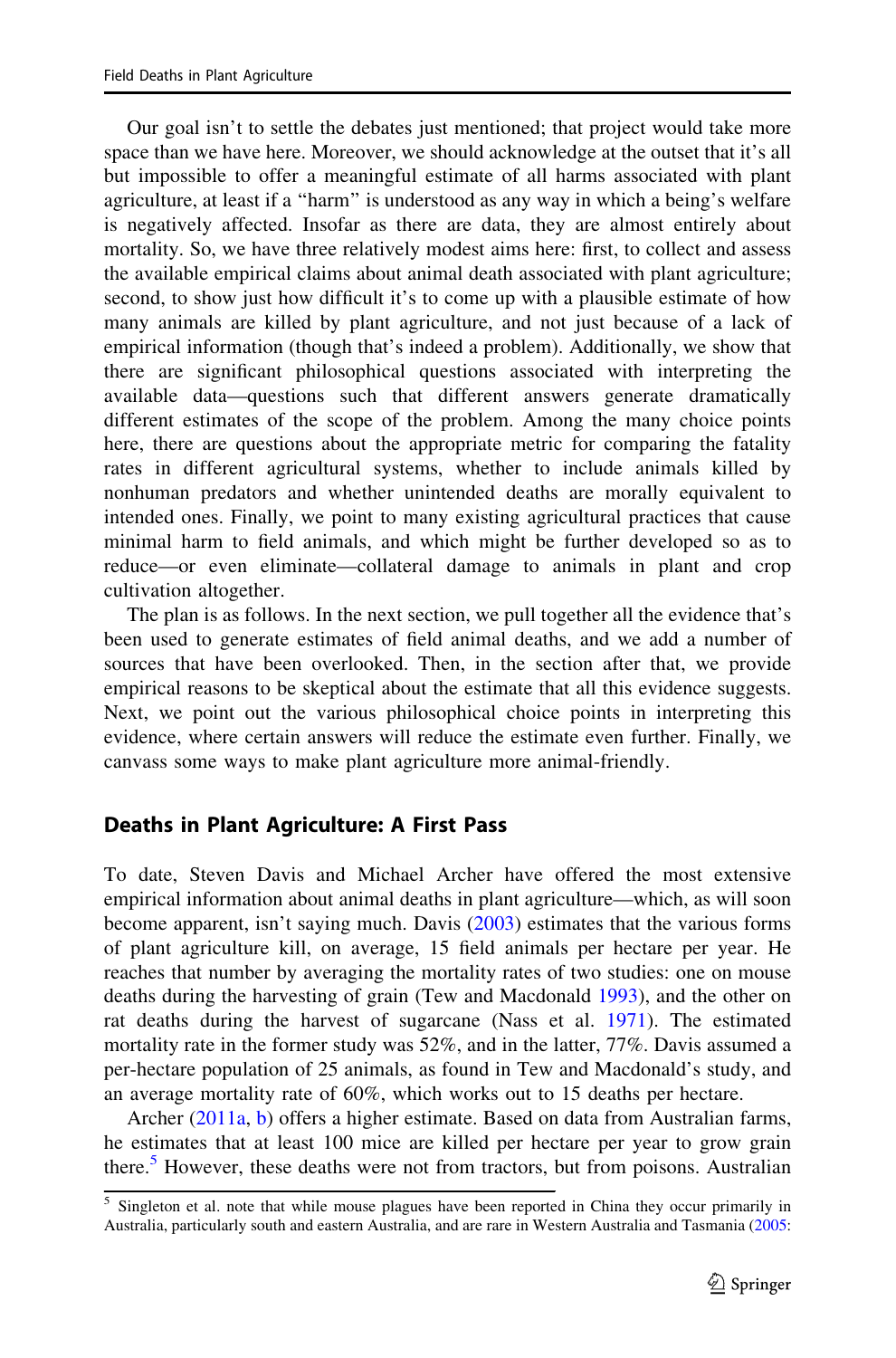Our goal isn't to settle the debates just mentioned; that project would take more space than we have here. Moreover, we should acknowledge at the outset that it's all but impossible to offer a meaningful estimate of all harms associated with plant agriculture, at least if a ''harm'' is understood as any way in which a being's welfare is negatively affected. Insofar as there are data, they are almost entirely about mortality. So, we have three relatively modest aims here: first, to collect and assess the available empirical claims about animal death associated with plant agriculture; second, to show just how difficult it's to come up with a plausible estimate of how many animals are killed by plant agriculture, and not just because of a lack of empirical information (though that's indeed a problem). Additionally, we show that there are significant philosophical questions associated with interpreting the available data—questions such that different answers generate dramatically different estimates of the scope of the problem. Among the many choice points here, there are questions about the appropriate metric for comparing the fatality rates in different agricultural systems, whether to include animals killed by nonhuman predators and whether unintended deaths are morally equivalent to intended ones. Finally, we point to many existing agricultural practices that cause minimal harm to field animals, and which might be further developed so as to reduce—or even eliminate—collateral damage to animals in plant and crop cultivation altogether.

The plan is as follows. In the next section, we pull together all the evidence that's been used to generate estimates of field animal deaths, and we add a number of sources that have been overlooked. Then, in the section after that, we provide empirical reasons to be skeptical about the estimate that all this evidence suggests. Next, we point out the various philosophical choice points in interpreting this evidence, where certain answers will reduce the estimate even further. Finally, we canvass some ways to make plant agriculture more animal-friendly.

# Deaths in Plant Agriculture: A First Pass

To date, Steven Davis and Michael Archer have offered the most extensive empirical information about animal deaths in plant agriculture—which, as will soon become apparent, isn't saying much. Davis ([2003\)](#page-17-0) estimates that the various forms of plant agriculture kill, on average, 15 field animals per hectare per year. He reaches that number by averaging the mortality rates of two studies: one on mouse deaths during the harvesting of grain (Tew and Macdonald [1993](#page-19-0)), and the other on rat deaths during the harvest of sugarcane (Nass et al. [1971](#page-18-0)). The estimated mortality rate in the former study was 52%, and in the latter, 77%. Davis assumed a per-hectare population of 25 animals, as found in Tew and Macdonald's study, and an average mortality rate of 60%, which works out to 15 deaths per hectare.

Archer [\(2011a,](#page-17-0) [b\)](#page-17-0) offers a higher estimate. Based on data from Australian farms, he estimates that at least 100 mice are killed per hectare per year to grow grain there.<sup>5</sup> However, these deaths were not from tractors, but from poisons. Australian

<sup>&</sup>lt;sup>5</sup> Singleton et al. note that while mouse plagues have been reported in China they occur primarily in Australia, particularly south and eastern Australia, and are rare in Western Australia and Tasmania [\(2005](#page-19-0):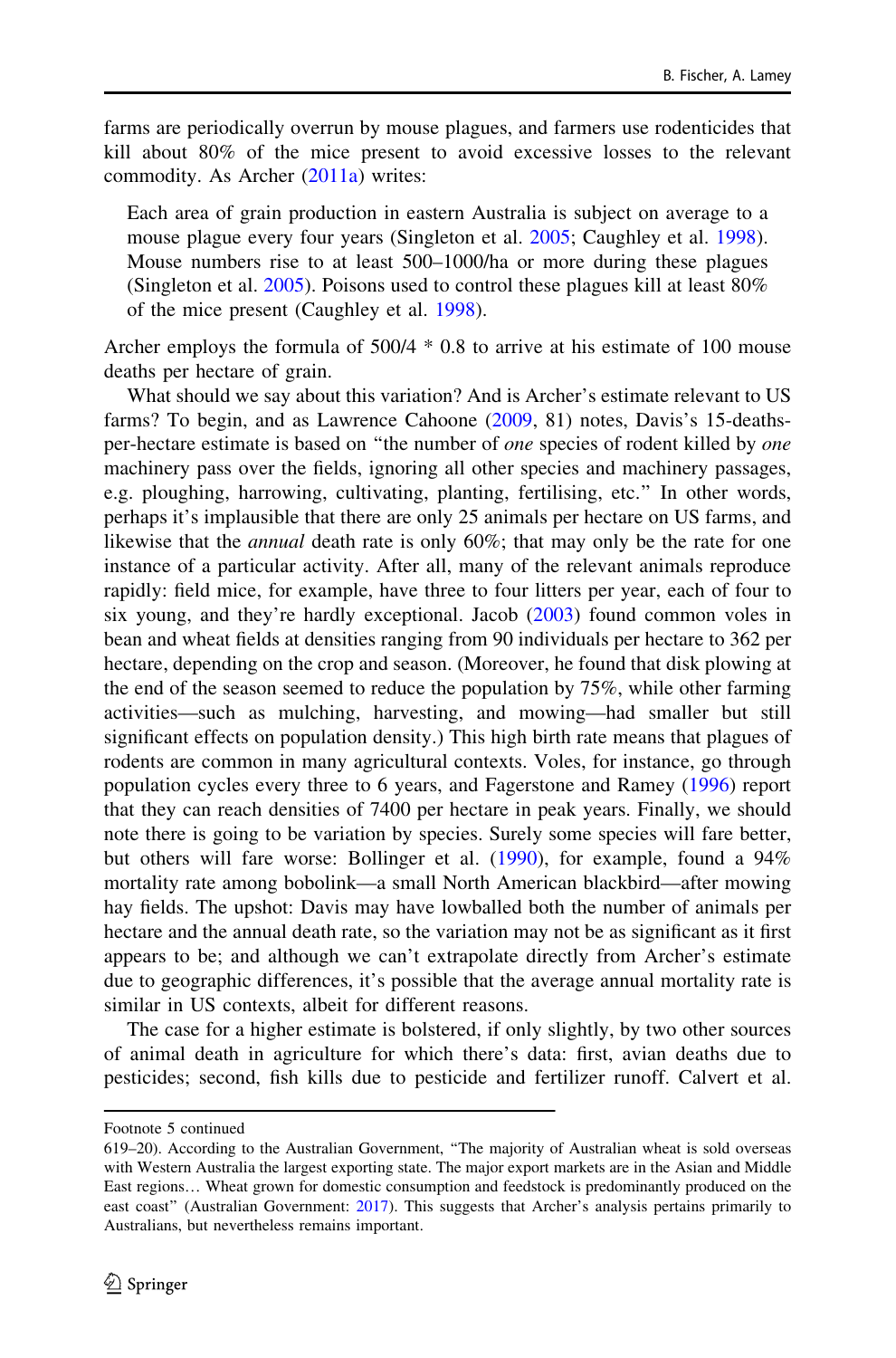farms are periodically overrun by mouse plagues, and farmers use rodenticides that kill about 80% of the mice present to avoid excessive losses to the relevant commodity. As Archer [\(2011a\)](#page-17-0) writes:

Each area of grain production in eastern Australia is subject on average to a mouse plague every four years (Singleton et al. [2005;](#page-19-0) Caughley et al. [1998](#page-17-0)). Mouse numbers rise to at least 500–1000/ha or more during these plagues (Singleton et al. [2005](#page-19-0)). Poisons used to control these plagues kill at least 80% of the mice present (Caughley et al. [1998](#page-17-0)).

Archer employs the formula of 500/4 \* 0.8 to arrive at his estimate of 100 mouse deaths per hectare of grain.

What should we say about this variation? And is Archer's estimate relevant to US farms? To begin, and as Lawrence Cahoone [\(2009](#page-17-0), 81) notes, Davis's 15-deathsper-hectare estimate is based on "the number of *one* species of rodent killed by *one* machinery pass over the fields, ignoring all other species and machinery passages, e.g. ploughing, harrowing, cultivating, planting, fertilising, etc.'' In other words, perhaps it's implausible that there are only 25 animals per hectare on US farms, and likewise that the *annual* death rate is only 60%; that may only be the rate for one instance of a particular activity. After all, many of the relevant animals reproduce rapidly: field mice, for example, have three to four litters per year, each of four to six young, and they're hardly exceptional. Jacob ([2003\)](#page-18-0) found common voles in bean and wheat fields at densities ranging from 90 individuals per hectare to 362 per hectare, depending on the crop and season. (Moreover, he found that disk plowing at the end of the season seemed to reduce the population by 75%, while other farming activities—such as mulching, harvesting, and mowing—had smaller but still significant effects on population density.) This high birth rate means that plagues of rodents are common in many agricultural contexts. Voles, for instance, go through population cycles every three to 6 years, and Fagerstone and Ramey ([1996\)](#page-17-0) report that they can reach densities of 7400 per hectare in peak years. Finally, we should note there is going to be variation by species. Surely some species will fare better, but others will fare worse: Bollinger et al. ([1990\)](#page-17-0), for example, found a 94% mortality rate among bobolink—a small North American blackbird—after mowing hay fields. The upshot: Davis may have lowballed both the number of animals per hectare and the annual death rate, so the variation may not be as significant as it first appears to be; and although we can't extrapolate directly from Archer's estimate due to geographic differences, it's possible that the average annual mortality rate is similar in US contexts, albeit for different reasons.

The case for a higher estimate is bolstered, if only slightly, by two other sources of animal death in agriculture for which there's data: first, avian deaths due to pesticides; second, fish kills due to pesticide and fertilizer runoff. Calvert et al.

Footnote 5 continued

<sup>619–20).</sup> According to the Australian Government, ''The majority of Australian wheat is sold overseas with Western Australia the largest exporting state. The major export markets are in the Asian and Middle East regions… Wheat grown for domestic consumption and feedstock is predominantly produced on the east coast" (Australian Government: [2017\)](#page-17-0). This suggests that Archer's analysis pertains primarily to Australians, but nevertheless remains important.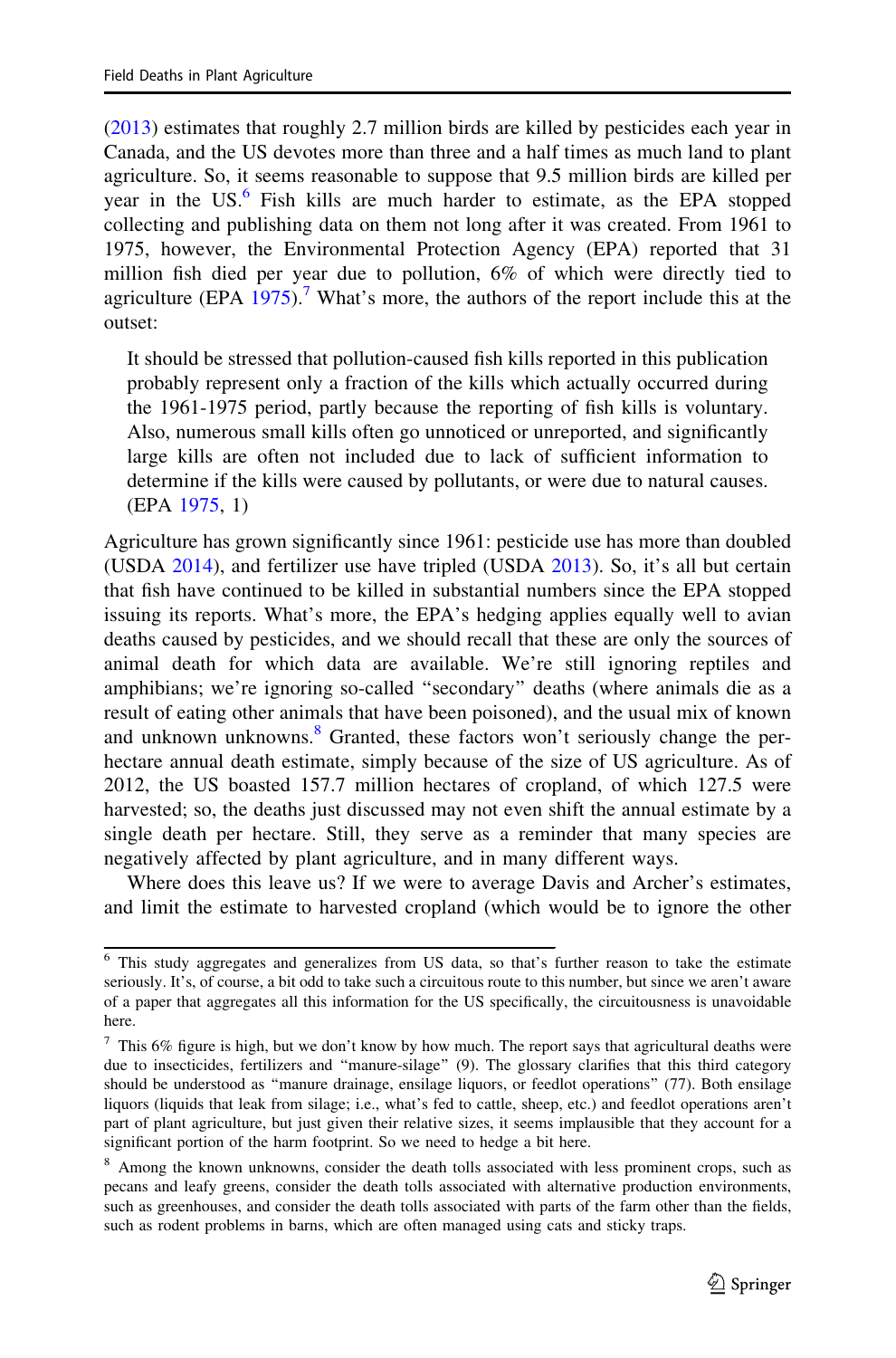[\(2013](#page-17-0)) estimates that roughly 2.7 million birds are killed by pesticides each year in Canada, and the US devotes more than three and a half times as much land to plant agriculture. So, it seems reasonable to suppose that 9.5 million birds are killed per year in the US.<sup>6</sup> Fish kills are much harder to estimate, as the EPA stopped collecting and publishing data on them not long after it was created. From 1961 to 1975, however, the Environmental Protection Agency (EPA) reported that 31 million fish died per year due to pollution, 6% of which were directly tied to agriculture (EPA  $1975$ ).<sup>7</sup> What's more, the authors of the report include this at the outset:

It should be stressed that pollution-caused fish kills reported in this publication probably represent only a fraction of the kills which actually occurred during the 1961-1975 period, partly because the reporting of fish kills is voluntary. Also, numerous small kills often go unnoticed or unreported, and significantly large kills are often not included due to lack of sufficient information to determine if the kills were caused by pollutants, or were due to natural causes. (EPA [1975,](#page-17-0) 1)

Agriculture has grown significantly since 1961: pesticide use has more than doubled (USDA [2014\)](#page-19-0), and fertilizer use have tripled (USDA [2013\)](#page-19-0). So, it's all but certain that fish have continued to be killed in substantial numbers since the EPA stopped issuing its reports. What's more, the EPA's hedging applies equally well to avian deaths caused by pesticides, and we should recall that these are only the sources of animal death for which data are available. We're still ignoring reptiles and amphibians; we're ignoring so-called ''secondary'' deaths (where animals die as a result of eating other animals that have been poisoned), and the usual mix of known and unknown unknowns.<sup>8</sup> Granted, these factors won't seriously change the perhectare annual death estimate, simply because of the size of US agriculture. As of 2012, the US boasted 157.7 million hectares of cropland, of which 127.5 were harvested; so, the deaths just discussed may not even shift the annual estimate by a single death per hectare. Still, they serve as a reminder that many species are negatively affected by plant agriculture, and in many different ways.

Where does this leave us? If we were to average Davis and Archer's estimates, and limit the estimate to harvested cropland (which would be to ignore the other

<sup>6</sup> This study aggregates and generalizes from US data, so that's further reason to take the estimate seriously. It's, of course, a bit odd to take such a circuitous route to this number, but since we aren't aware of a paper that aggregates all this information for the US specifically, the circuitousness is unavoidable here.

 $\frac{7}{10}$  This 6% figure is high, but we don't know by how much. The report says that agricultural deaths were due to insecticides, fertilizers and "manure-silage" (9). The glossary clarifies that this third category should be understood as ''manure drainage, ensilage liquors, or feedlot operations'' (77). Both ensilage liquors (liquids that leak from silage; i.e., what's fed to cattle, sheep, etc.) and feedlot operations aren't part of plant agriculture, but just given their relative sizes, it seems implausible that they account for a significant portion of the harm footprint. So we need to hedge a bit here.

<sup>8</sup> Among the known unknowns, consider the death tolls associated with less prominent crops, such as pecans and leafy greens, consider the death tolls associated with alternative production environments, such as greenhouses, and consider the death tolls associated with parts of the farm other than the fields, such as rodent problems in barns, which are often managed using cats and sticky traps.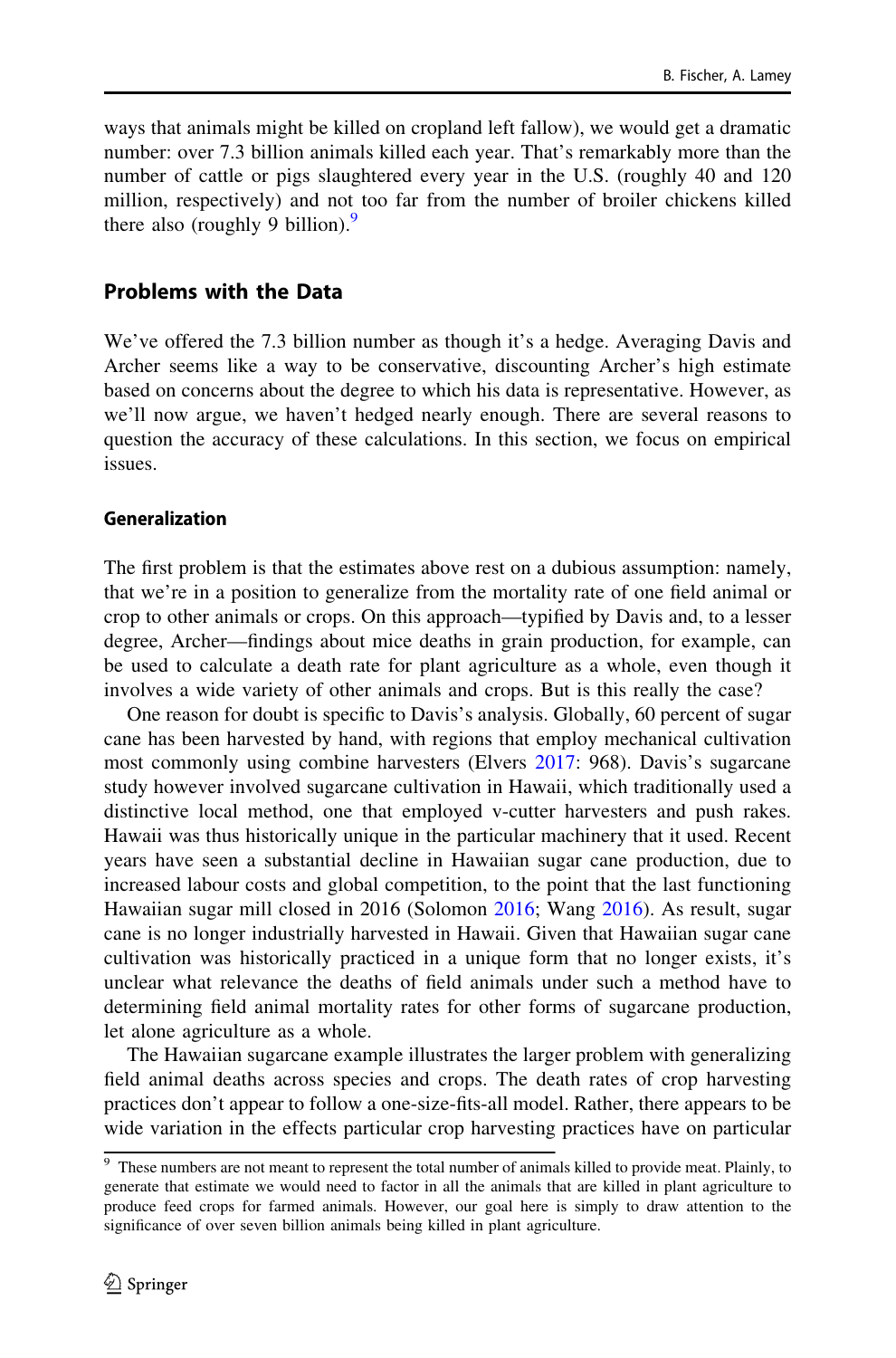ways that animals might be killed on cropland left fallow), we would get a dramatic number: over 7.3 billion animals killed each year. That's remarkably more than the number of cattle or pigs slaughtered every year in the U.S. (roughly 40 and 120 million, respectively) and not too far from the number of broiler chickens killed there also (roughly 9 billion). $\frac{9}{2}$ 

# Problems with the Data

We've offered the 7.3 billion number as though it's a hedge. Averaging Davis and Archer seems like a way to be conservative, discounting Archer's high estimate based on concerns about the degree to which his data is representative. However, as we'll now argue, we haven't hedged nearly enough. There are several reasons to question the accuracy of these calculations. In this section, we focus on empirical issues.

#### Generalization

The first problem is that the estimates above rest on a dubious assumption: namely, that we're in a position to generalize from the mortality rate of one field animal or crop to other animals or crops. On this approach—typified by Davis and, to a lesser degree, Archer—findings about mice deaths in grain production, for example, can be used to calculate a death rate for plant agriculture as a whole, even though it involves a wide variety of other animals and crops. But is this really the case?

One reason for doubt is specific to Davis's analysis. Globally, 60 percent of sugar cane has been harvested by hand, with regions that employ mechanical cultivation most commonly using combine harvesters (Elvers [2017](#page-17-0): 968). Davis's sugarcane study however involved sugarcane cultivation in Hawaii, which traditionally used a distinctive local method, one that employed v-cutter harvesters and push rakes. Hawaii was thus historically unique in the particular machinery that it used. Recent years have seen a substantial decline in Hawaiian sugar cane production, due to increased labour costs and global competition, to the point that the last functioning Hawaiian sugar mill closed in 2016 (Solomon [2016](#page-19-0); Wang [2016](#page-19-0)). As result, sugar cane is no longer industrially harvested in Hawaii. Given that Hawaiian sugar cane cultivation was historically practiced in a unique form that no longer exists, it's unclear what relevance the deaths of field animals under such a method have to determining field animal mortality rates for other forms of sugarcane production, let alone agriculture as a whole.

The Hawaiian sugarcane example illustrates the larger problem with generalizing field animal deaths across species and crops. The death rates of crop harvesting practices don't appear to follow a one-size-fits-all model. Rather, there appears to be wide variation in the effects particular crop harvesting practices have on particular

<sup>&</sup>lt;sup>9</sup> These numbers are not meant to represent the total number of animals killed to provide meat. Plainly, to generate that estimate we would need to factor in all the animals that are killed in plant agriculture to produce feed crops for farmed animals. However, our goal here is simply to draw attention to the significance of over seven billion animals being killed in plant agriculture.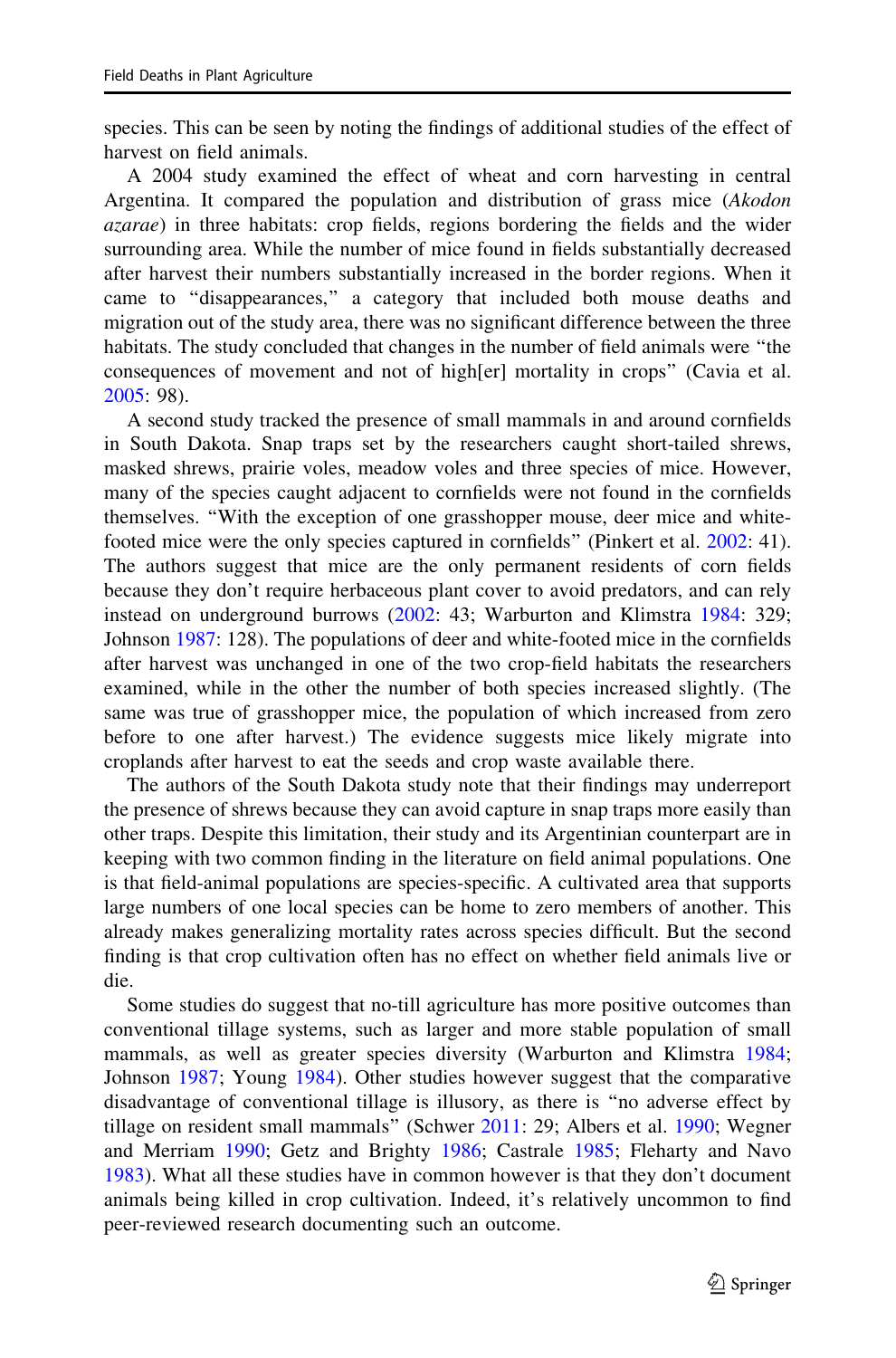species. This can be seen by noting the findings of additional studies of the effect of harvest on field animals.

A 2004 study examined the effect of wheat and corn harvesting in central Argentina. It compared the population and distribution of grass mice (Akodon azarae) in three habitats: crop fields, regions bordering the fields and the wider surrounding area. While the number of mice found in fields substantially decreased after harvest their numbers substantially increased in the border regions. When it came to ''disappearances,'' a category that included both mouse deaths and migration out of the study area, there was no significant difference between the three habitats. The study concluded that changes in the number of field animals were ''the consequences of movement and not of high[er] mortality in crops'' (Cavia et al. [2005:](#page-17-0) 98).

A second study tracked the presence of small mammals in and around cornfields in South Dakota. Snap traps set by the researchers caught short-tailed shrews, masked shrews, prairie voles, meadow voles and three species of mice. However, many of the species caught adjacent to cornfields were not found in the cornfields themselves. ''With the exception of one grasshopper mouse, deer mice and whitefooted mice were the only species captured in cornfields'' (Pinkert et al. [2002:](#page-19-0) 41). The authors suggest that mice are the only permanent residents of corn fields because they don't require herbaceous plant cover to avoid predators, and can rely instead on underground burrows ([2002:](#page-19-0) 43; Warburton and Klimstra [1984](#page-19-0): 329; Johnson [1987](#page-18-0): 128). The populations of deer and white-footed mice in the cornfields after harvest was unchanged in one of the two crop-field habitats the researchers examined, while in the other the number of both species increased slightly. (The same was true of grasshopper mice, the population of which increased from zero before to one after harvest.) The evidence suggests mice likely migrate into croplands after harvest to eat the seeds and crop waste available there.

The authors of the South Dakota study note that their findings may underreport the presence of shrews because they can avoid capture in snap traps more easily than other traps. Despite this limitation, their study and its Argentinian counterpart are in keeping with two common finding in the literature on field animal populations. One is that field-animal populations are species-specific. A cultivated area that supports large numbers of one local species can be home to zero members of another. This already makes generalizing mortality rates across species difficult. But the second finding is that crop cultivation often has no effect on whether field animals live or die.

Some studies do suggest that no-till agriculture has more positive outcomes than conventional tillage systems, such as larger and more stable population of small mammals, as well as greater species diversity (Warburton and Klimstra [1984;](#page-19-0) Johnson [1987](#page-18-0); Young [1984\)](#page-19-0). Other studies however suggest that the comparative disadvantage of conventional tillage is illusory, as there is ''no adverse effect by tillage on resident small mammals'' (Schwer [2011:](#page-19-0) 29; Albers et al. [1990;](#page-17-0) Wegner and Merriam [1990](#page-19-0); Getz and Brighty [1986](#page-18-0); Castrale [1985;](#page-17-0) Fleharty and Navo [1983\)](#page-18-0). What all these studies have in common however is that they don't document animals being killed in crop cultivation. Indeed, it's relatively uncommon to find peer-reviewed research documenting such an outcome.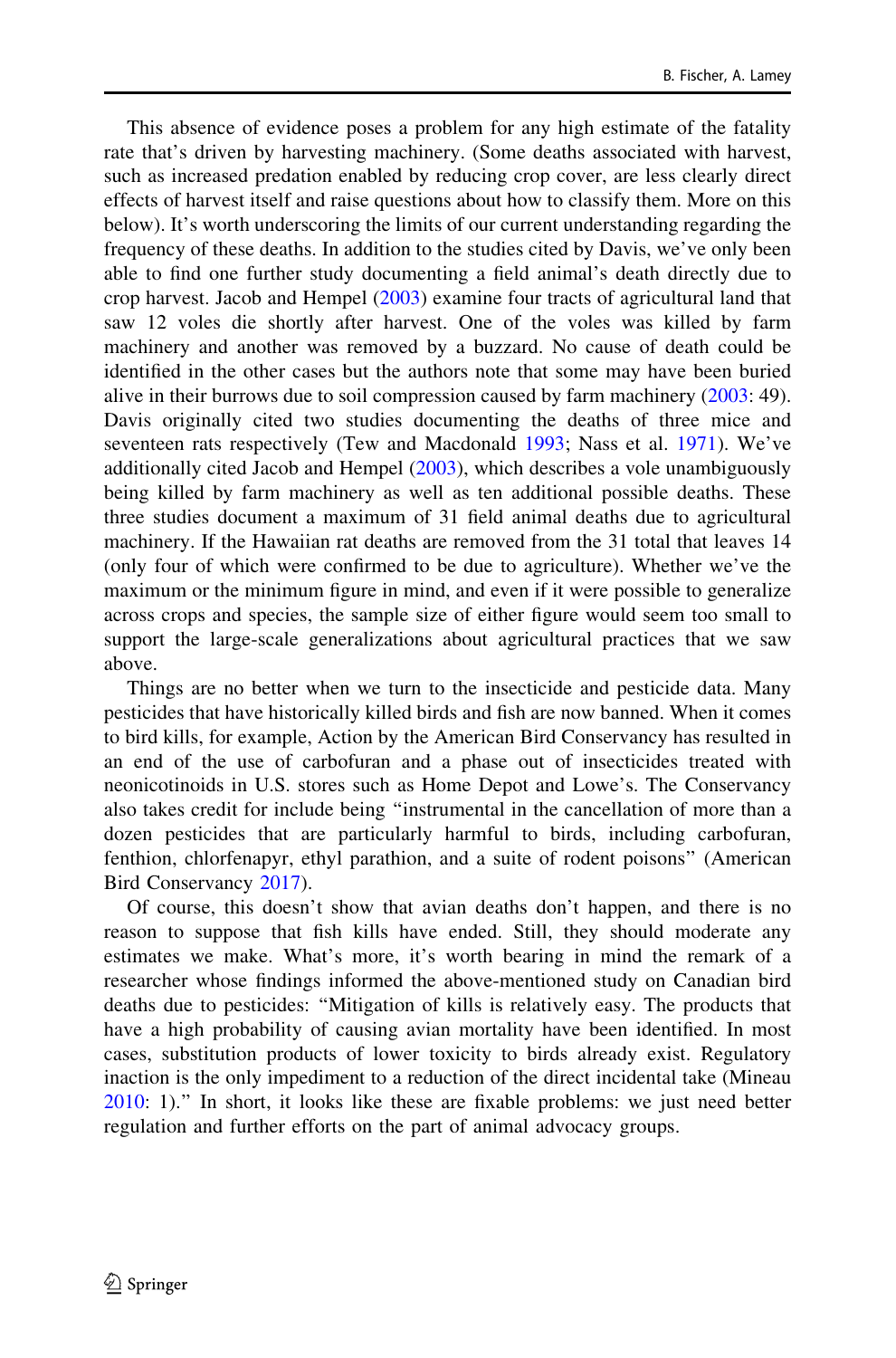This absence of evidence poses a problem for any high estimate of the fatality rate that's driven by harvesting machinery. (Some deaths associated with harvest, such as increased predation enabled by reducing crop cover, are less clearly direct effects of harvest itself and raise questions about how to classify them. More on this below). It's worth underscoring the limits of our current understanding regarding the frequency of these deaths. In addition to the studies cited by Davis, we've only been able to find one further study documenting a field animal's death directly due to crop harvest. Jacob and Hempel [\(2003](#page-18-0)) examine four tracts of agricultural land that saw 12 voles die shortly after harvest. One of the voles was killed by farm machinery and another was removed by a buzzard. No cause of death could be identified in the other cases but the authors note that some may have been buried alive in their burrows due to soil compression caused by farm machinery [\(2003](#page-18-0): 49). Davis originally cited two studies documenting the deaths of three mice and seventeen rats respectively (Tew and Macdonald [1993](#page-19-0); Nass et al. [1971\)](#page-18-0). We've additionally cited Jacob and Hempel [\(2003](#page-18-0)), which describes a vole unambiguously being killed by farm machinery as well as ten additional possible deaths. These three studies document a maximum of 31 field animal deaths due to agricultural machinery. If the Hawaiian rat deaths are removed from the 31 total that leaves 14 (only four of which were confirmed to be due to agriculture). Whether we've the maximum or the minimum figure in mind, and even if it were possible to generalize across crops and species, the sample size of either figure would seem too small to support the large-scale generalizations about agricultural practices that we saw above.

Things are no better when we turn to the insecticide and pesticide data. Many pesticides that have historically killed birds and fish are now banned. When it comes to bird kills, for example, Action by the American Bird Conservancy has resulted in an end of the use of carbofuran and a phase out of insecticides treated with neonicotinoids in U.S. stores such as Home Depot and Lowe's. The Conservancy also takes credit for include being ''instrumental in the cancellation of more than a dozen pesticides that are particularly harmful to birds, including carbofuran, fenthion, chlorfenapyr, ethyl parathion, and a suite of rodent poisons'' (American Bird Conservancy [2017\)](#page-17-0).

Of course, this doesn't show that avian deaths don't happen, and there is no reason to suppose that fish kills have ended. Still, they should moderate any estimates we make. What's more, it's worth bearing in mind the remark of a researcher whose findings informed the above-mentioned study on Canadian bird deaths due to pesticides: ''Mitigation of kills is relatively easy. The products that have a high probability of causing avian mortality have been identified. In most cases, substitution products of lower toxicity to birds already exist. Regulatory inaction is the only impediment to a reduction of the direct incidental take (Mineau [2010:](#page-18-0) 1).'' In short, it looks like these are fixable problems: we just need better regulation and further efforts on the part of animal advocacy groups.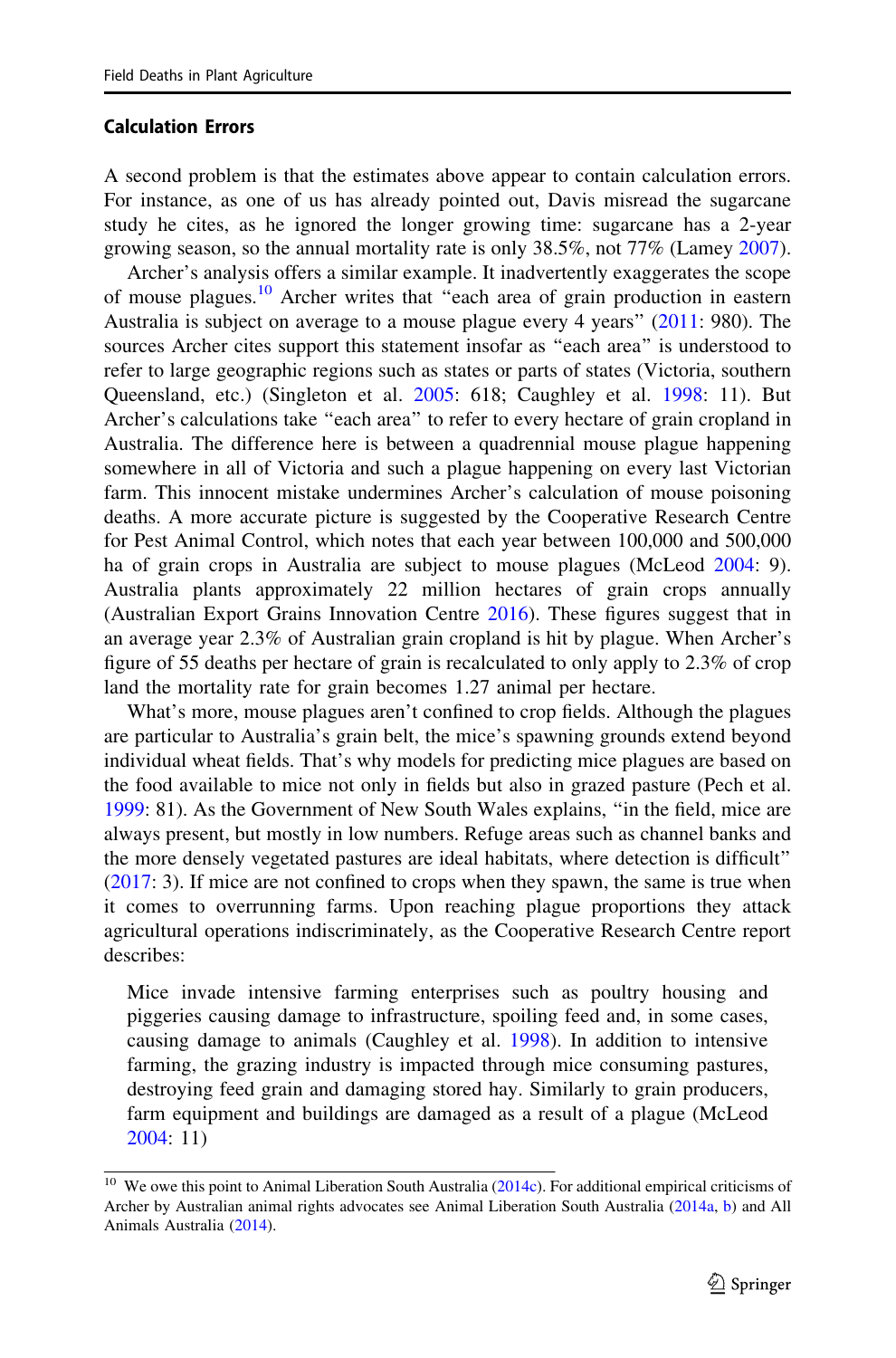#### Calculation Errors

A second problem is that the estimates above appear to contain calculation errors. For instance, as one of us has already pointed out, Davis misread the sugarcane study he cites, as he ignored the longer growing time: sugarcane has a 2-year growing season, so the annual mortality rate is only 38.5%, not 77% (Lamey [2007\)](#page-18-0).

Archer's analysis offers a similar example. It inadvertently exaggerates the scope of mouse plagues.10 Archer writes that ''each area of grain production in eastern Australia is subject on average to a mouse plague every 4 years'' [\(2011:](#page-17-0) 980). The sources Archer cites support this statement insofar as ''each area'' is understood to refer to large geographic regions such as states or parts of states (Victoria, southern Queensland, etc.) (Singleton et al. [2005:](#page-19-0) 618; Caughley et al. [1998:](#page-17-0) 11). But Archer's calculations take ''each area'' to refer to every hectare of grain cropland in Australia. The difference here is between a quadrennial mouse plague happening somewhere in all of Victoria and such a plague happening on every last Victorian farm. This innocent mistake undermines Archer's calculation of mouse poisoning deaths. A more accurate picture is suggested by the Cooperative Research Centre for Pest Animal Control, which notes that each year between 100,000 and 500,000 ha of grain crops in Australia are subject to mouse plagues (McLeod [2004](#page-18-0): 9). Australia plants approximately 22 million hectares of grain crops annually (Australian Export Grains Innovation Centre [2016](#page-17-0)). These figures suggest that in an average year 2.3% of Australian grain cropland is hit by plague. When Archer's figure of 55 deaths per hectare of grain is recalculated to only apply to 2.3% of crop land the mortality rate for grain becomes 1.27 animal per hectare.

What's more, mouse plagues aren't confined to crop fields. Although the plagues are particular to Australia's grain belt, the mice's spawning grounds extend beyond individual wheat fields. That's why models for predicting mice plagues are based on the food available to mice not only in fields but also in grazed pasture (Pech et al. [1999:](#page-18-0) 81). As the Government of New South Wales explains, ''in the field, mice are always present, but mostly in low numbers. Refuge areas such as channel banks and the more densely vegetated pastures are ideal habitats, where detection is difficult'' [\(2017](#page-18-0): 3). If mice are not confined to crops when they spawn, the same is true when it comes to overrunning farms. Upon reaching plague proportions they attack agricultural operations indiscriminately, as the Cooperative Research Centre report describes:

Mice invade intensive farming enterprises such as poultry housing and piggeries causing damage to infrastructure, spoiling feed and, in some cases, causing damage to animals (Caughley et al. [1998\)](#page-17-0). In addition to intensive farming, the grazing industry is impacted through mice consuming pastures, destroying feed grain and damaging stored hay. Similarly to grain producers, farm equipment and buildings are damaged as a result of a plague (McLeod [2004](#page-18-0): 11)

<sup>&</sup>lt;sup>10</sup> We owe this point to Animal Liberation South Australia ([2014c](#page-17-0)). For additional empirical criticisms of Archer by Australian animal rights advocates see Animal Liberation South Australia ([2014a](#page-17-0), [b\)](#page-17-0) and All Animals Australia [\(2014](#page-17-0)).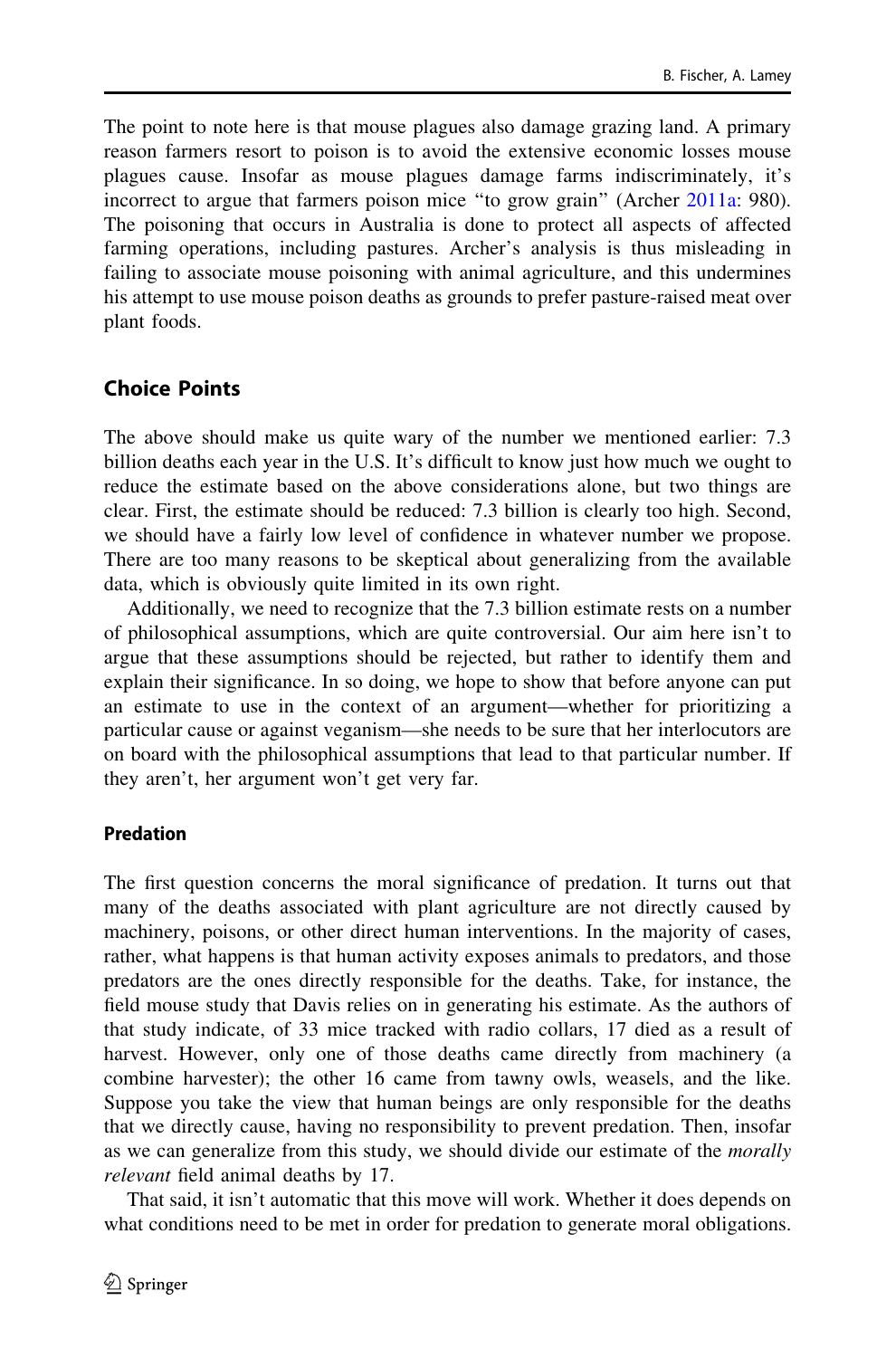The point to note here is that mouse plagues also damage grazing land. A primary reason farmers resort to poison is to avoid the extensive economic losses mouse plagues cause. Insofar as mouse plagues damage farms indiscriminately, it's incorrect to argue that farmers poison mice "to grow grain" (Archer [2011a](#page-17-0): 980). The poisoning that occurs in Australia is done to protect all aspects of affected farming operations, including pastures. Archer's analysis is thus misleading in failing to associate mouse poisoning with animal agriculture, and this undermines his attempt to use mouse poison deaths as grounds to prefer pasture-raised meat over plant foods.

# Choice Points

The above should make us quite wary of the number we mentioned earlier: 7.3 billion deaths each year in the U.S. It's difficult to know just how much we ought to reduce the estimate based on the above considerations alone, but two things are clear. First, the estimate should be reduced: 7.3 billion is clearly too high. Second, we should have a fairly low level of confidence in whatever number we propose. There are too many reasons to be skeptical about generalizing from the available data, which is obviously quite limited in its own right.

Additionally, we need to recognize that the 7.3 billion estimate rests on a number of philosophical assumptions, which are quite controversial. Our aim here isn't to argue that these assumptions should be rejected, but rather to identify them and explain their significance. In so doing, we hope to show that before anyone can put an estimate to use in the context of an argument—whether for prioritizing a particular cause or against veganism—she needs to be sure that her interlocutors are on board with the philosophical assumptions that lead to that particular number. If they aren't, her argument won't get very far.

#### Predation

The first question concerns the moral significance of predation. It turns out that many of the deaths associated with plant agriculture are not directly caused by machinery, poisons, or other direct human interventions. In the majority of cases, rather, what happens is that human activity exposes animals to predators, and those predators are the ones directly responsible for the deaths. Take, for instance, the field mouse study that Davis relies on in generating his estimate. As the authors of that study indicate, of 33 mice tracked with radio collars, 17 died as a result of harvest. However, only one of those deaths came directly from machinery (a combine harvester); the other 16 came from tawny owls, weasels, and the like. Suppose you take the view that human beings are only responsible for the deaths that we directly cause, having no responsibility to prevent predation. Then, insofar as we can generalize from this study, we should divide our estimate of the *morally* relevant field animal deaths by 17.

That said, it isn't automatic that this move will work. Whether it does depends on what conditions need to be met in order for predation to generate moral obligations.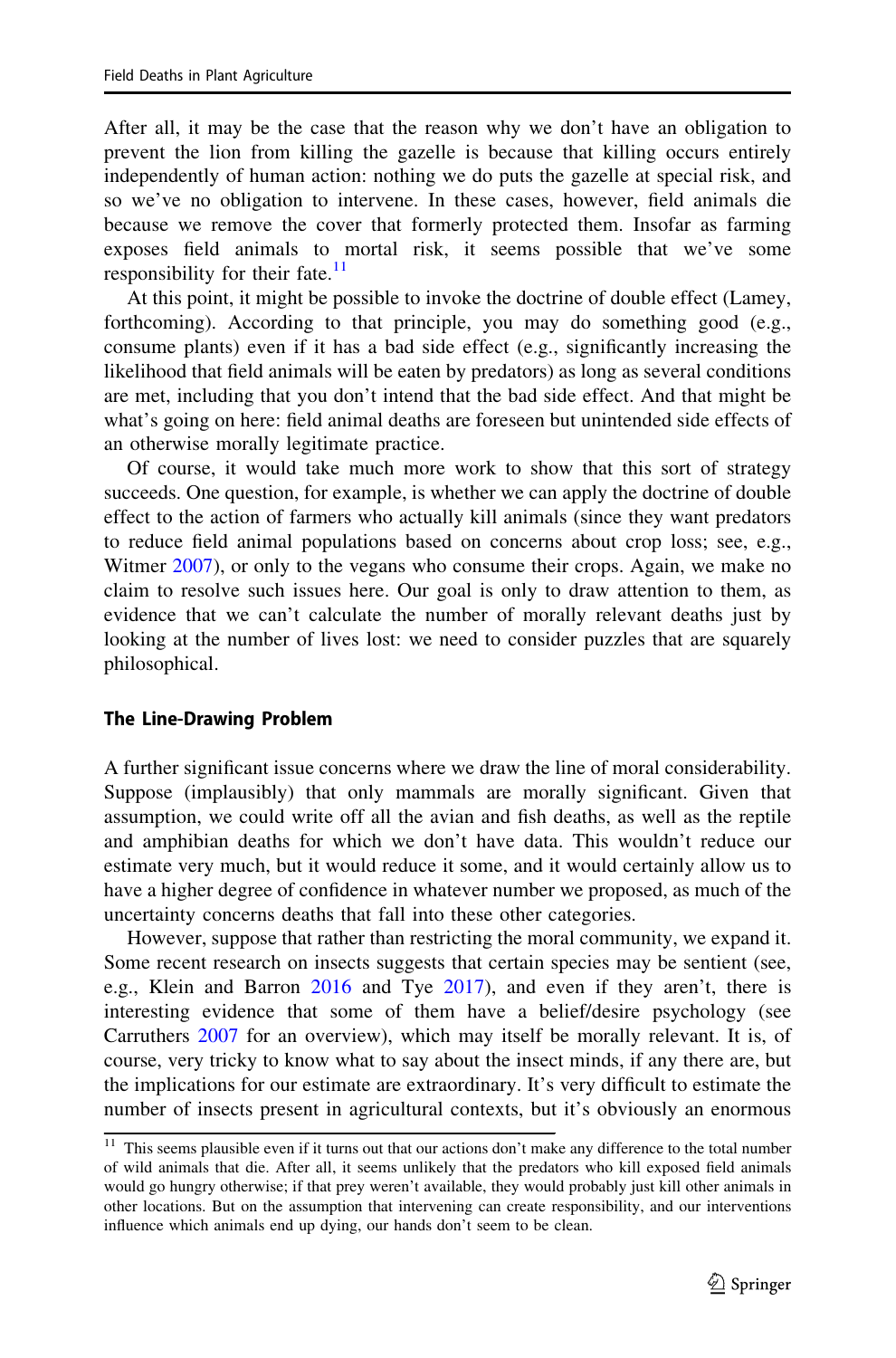After all, it may be the case that the reason why we don't have an obligation to prevent the lion from killing the gazelle is because that killing occurs entirely independently of human action: nothing we do puts the gazelle at special risk, and so we've no obligation to intervene. In these cases, however, field animals die because we remove the cover that formerly protected them. Insofar as farming exposes field animals to mortal risk, it seems possible that we've some responsibility for their fate. $11$ 

At this point, it might be possible to invoke the doctrine of double effect (Lamey, forthcoming). According to that principle, you may do something good (e.g., consume plants) even if it has a bad side effect (e.g., significantly increasing the likelihood that field animals will be eaten by predators) as long as several conditions are met, including that you don't intend that the bad side effect. And that might be what's going on here: field animal deaths are foreseen but unintended side effects of an otherwise morally legitimate practice.

Of course, it would take much more work to show that this sort of strategy succeeds. One question, for example, is whether we can apply the doctrine of double effect to the action of farmers who actually kill animals (since they want predators to reduce field animal populations based on concerns about crop loss; see, e.g., Witmer  $2007$ ), or only to the vegans who consume their crops. Again, we make no claim to resolve such issues here. Our goal is only to draw attention to them, as evidence that we can't calculate the number of morally relevant deaths just by looking at the number of lives lost: we need to consider puzzles that are squarely philosophical.

#### The Line-Drawing Problem

A further significant issue concerns where we draw the line of moral considerability. Suppose (implausibly) that only mammals are morally significant. Given that assumption, we could write off all the avian and fish deaths, as well as the reptile and amphibian deaths for which we don't have data. This wouldn't reduce our estimate very much, but it would reduce it some, and it would certainly allow us to have a higher degree of confidence in whatever number we proposed, as much of the uncertainty concerns deaths that fall into these other categories.

However, suppose that rather than restricting the moral community, we expand it. Some recent research on insects suggests that certain species may be sentient (see, e.g., Klein and Barron [2016](#page-18-0) and Tye [2017\)](#page-19-0), and even if they aren't, there is interesting evidence that some of them have a belief/desire psychology (see Carruthers [2007](#page-17-0) for an overview), which may itself be morally relevant. It is, of course, very tricky to know what to say about the insect minds, if any there are, but the implications for our estimate are extraordinary. It's very difficult to estimate the number of insects present in agricultural contexts, but it's obviously an enormous

 $11$  This seems plausible even if it turns out that our actions don't make any difference to the total number of wild animals that die. After all, it seems unlikely that the predators who kill exposed field animals would go hungry otherwise; if that prey weren't available, they would probably just kill other animals in other locations. But on the assumption that intervening can create responsibility, and our interventions influence which animals end up dying, our hands don't seem to be clean.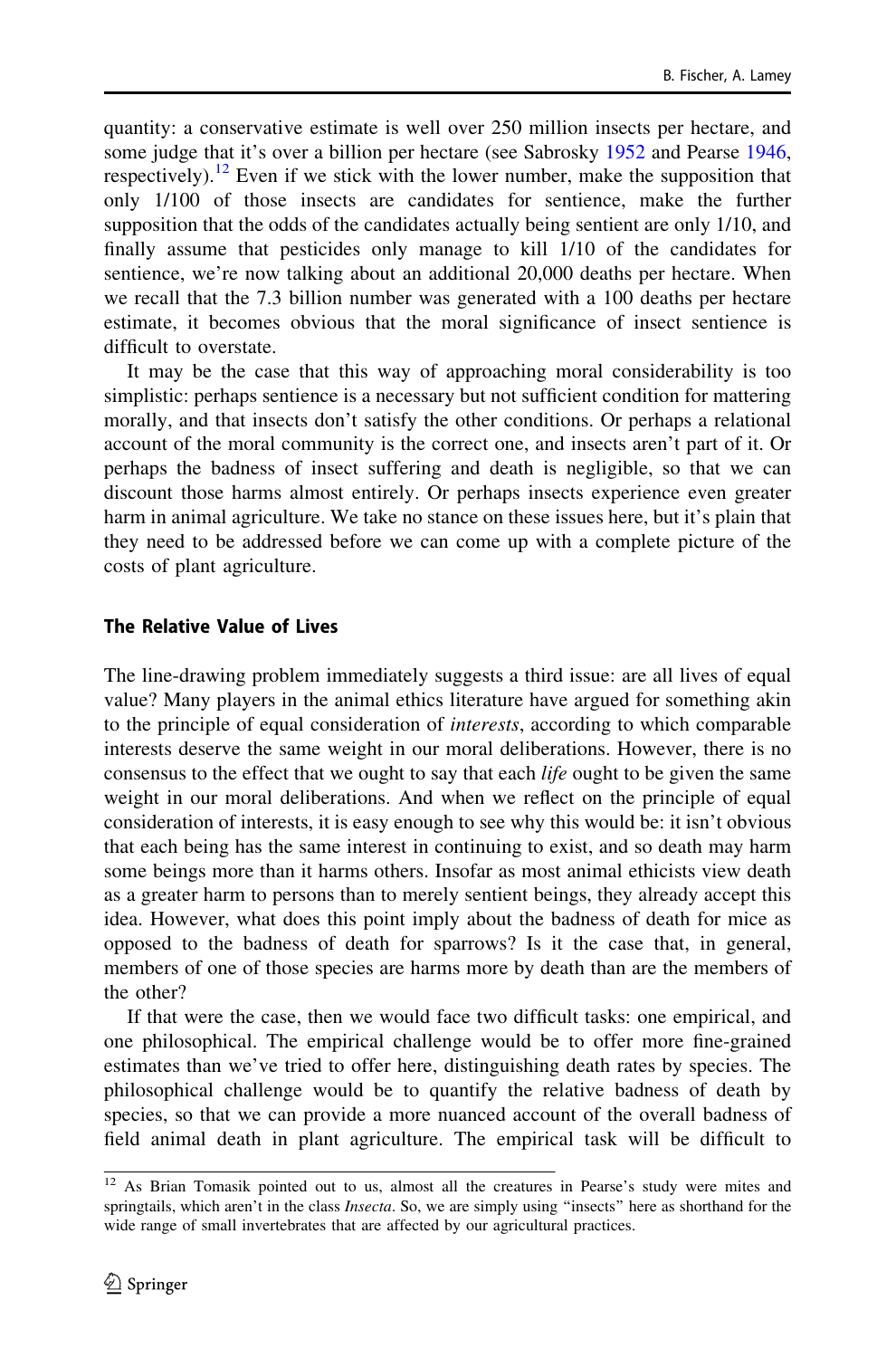quantity: a conservative estimate is well over 250 million insects per hectare, and some judge that it's over a billion per hectare (see Sabrosky [1952](#page-19-0) and Pearse [1946,](#page-18-0) respectively).<sup>12</sup> Even if we stick with the lower number, make the supposition that only 1/100 of those insects are candidates for sentience, make the further supposition that the odds of the candidates actually being sentient are only 1/10, and finally assume that pesticides only manage to kill 1/10 of the candidates for sentience, we're now talking about an additional 20,000 deaths per hectare. When we recall that the 7.3 billion number was generated with a 100 deaths per hectare estimate, it becomes obvious that the moral significance of insect sentience is difficult to overstate.

It may be the case that this way of approaching moral considerability is too simplistic: perhaps sentience is a necessary but not sufficient condition for mattering morally, and that insects don't satisfy the other conditions. Or perhaps a relational account of the moral community is the correct one, and insects aren't part of it. Or perhaps the badness of insect suffering and death is negligible, so that we can discount those harms almost entirely. Or perhaps insects experience even greater harm in animal agriculture. We take no stance on these issues here, but it's plain that they need to be addressed before we can come up with a complete picture of the costs of plant agriculture.

#### The Relative Value of Lives

The line-drawing problem immediately suggests a third issue: are all lives of equal value? Many players in the animal ethics literature have argued for something akin to the principle of equal consideration of *interests*, according to which comparable interests deserve the same weight in our moral deliberations. However, there is no consensus to the effect that we ought to say that each *life* ought to be given the same weight in our moral deliberations. And when we reflect on the principle of equal consideration of interests, it is easy enough to see why this would be: it isn't obvious that each being has the same interest in continuing to exist, and so death may harm some beings more than it harms others. Insofar as most animal ethicists view death as a greater harm to persons than to merely sentient beings, they already accept this idea. However, what does this point imply about the badness of death for mice as opposed to the badness of death for sparrows? Is it the case that, in general, members of one of those species are harms more by death than are the members of the other?

If that were the case, then we would face two difficult tasks: one empirical, and one philosophical. The empirical challenge would be to offer more fine-grained estimates than we've tried to offer here, distinguishing death rates by species. The philosophical challenge would be to quantify the relative badness of death by species, so that we can provide a more nuanced account of the overall badness of field animal death in plant agriculture. The empirical task will be difficult to

<sup>&</sup>lt;sup>12</sup> As Brian Tomasik pointed out to us, almost all the creatures in Pearse's study were mites and springtails, which aren't in the class *Insecta*. So, we are simply using "insects" here as shorthand for the wide range of small invertebrates that are affected by our agricultural practices.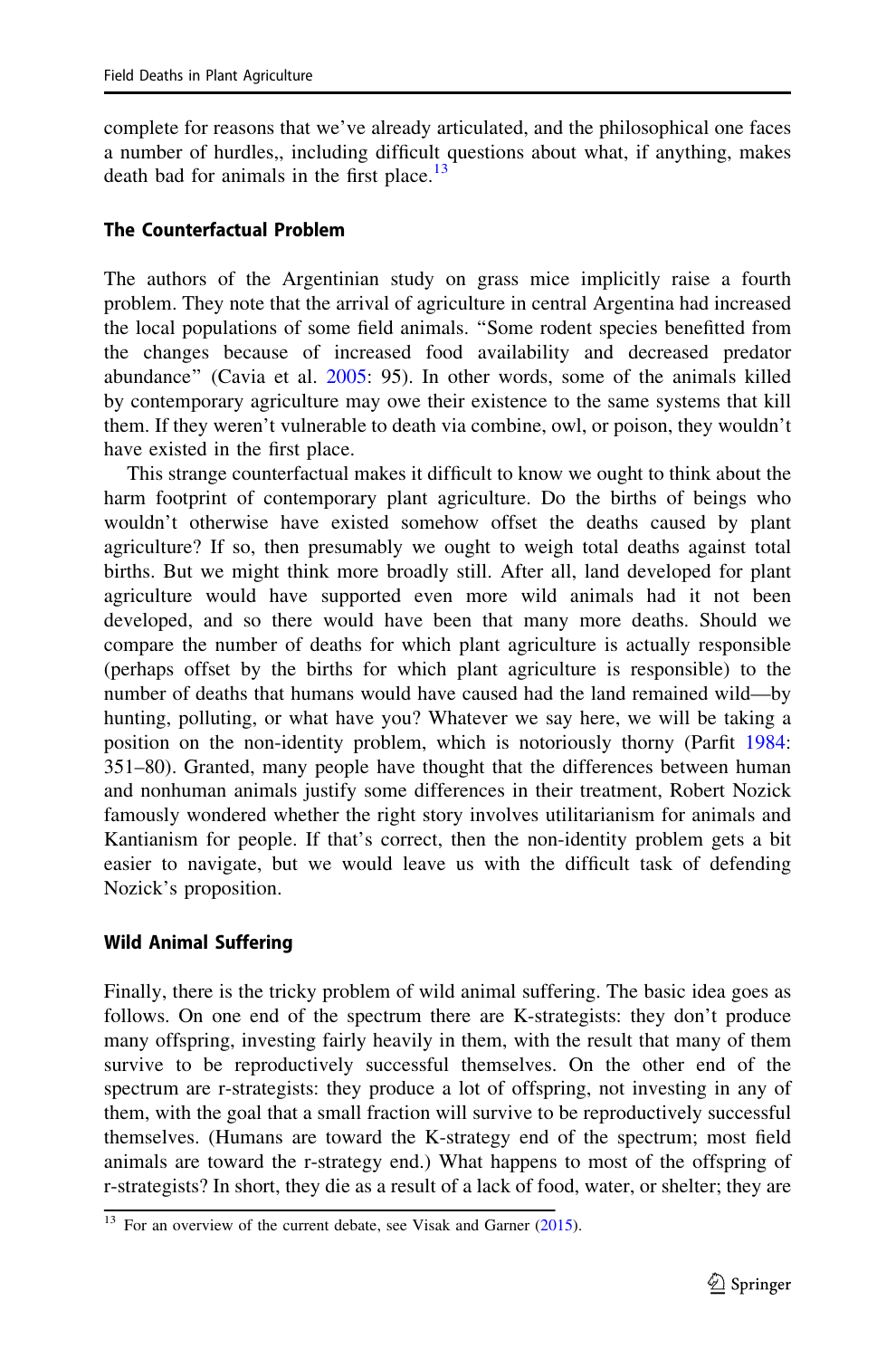complete for reasons that we've already articulated, and the philosophical one faces a number of hurdles,, including difficult questions about what, if anything, makes death bad for animals in the first place.<sup>13</sup>

#### The Counterfactual Problem

The authors of the Argentinian study on grass mice implicitly raise a fourth problem. They note that the arrival of agriculture in central Argentina had increased the local populations of some field animals. ''Some rodent species benefitted from the changes because of increased food availability and decreased predator abundance'' (Cavia et al. [2005](#page-17-0): 95). In other words, some of the animals killed by contemporary agriculture may owe their existence to the same systems that kill them. If they weren't vulnerable to death via combine, owl, or poison, they wouldn't have existed in the first place.

This strange counterfactual makes it difficult to know we ought to think about the harm footprint of contemporary plant agriculture. Do the births of beings who wouldn't otherwise have existed somehow offset the deaths caused by plant agriculture? If so, then presumably we ought to weigh total deaths against total births. But we might think more broadly still. After all, land developed for plant agriculture would have supported even more wild animals had it not been developed, and so there would have been that many more deaths. Should we compare the number of deaths for which plant agriculture is actually responsible (perhaps offset by the births for which plant agriculture is responsible) to the number of deaths that humans would have caused had the land remained wild—by hunting, polluting, or what have you? Whatever we say here, we will be taking a position on the non-identity problem, which is notoriously thorny (Parfit [1984:](#page-18-0) 351–80). Granted, many people have thought that the differences between human and nonhuman animals justify some differences in their treatment, Robert Nozick famously wondered whether the right story involves utilitarianism for animals and Kantianism for people. If that's correct, then the non-identity problem gets a bit easier to navigate, but we would leave us with the difficult task of defending Nozick's proposition.

#### Wild Animal Suffering

Finally, there is the tricky problem of wild animal suffering. The basic idea goes as follows. On one end of the spectrum there are K-strategists: they don't produce many offspring, investing fairly heavily in them, with the result that many of them survive to be reproductively successful themselves. On the other end of the spectrum are r-strategists: they produce a lot of offspring, not investing in any of them, with the goal that a small fraction will survive to be reproductively successful themselves. (Humans are toward the K-strategy end of the spectrum; most field animals are toward the r-strategy end.) What happens to most of the offspring of r-strategists? In short, they die as a result of a lack of food, water, or shelter; they are

 $13$  For an overview of the current debate, see Visak and Garner [\(2015](#page-19-0)).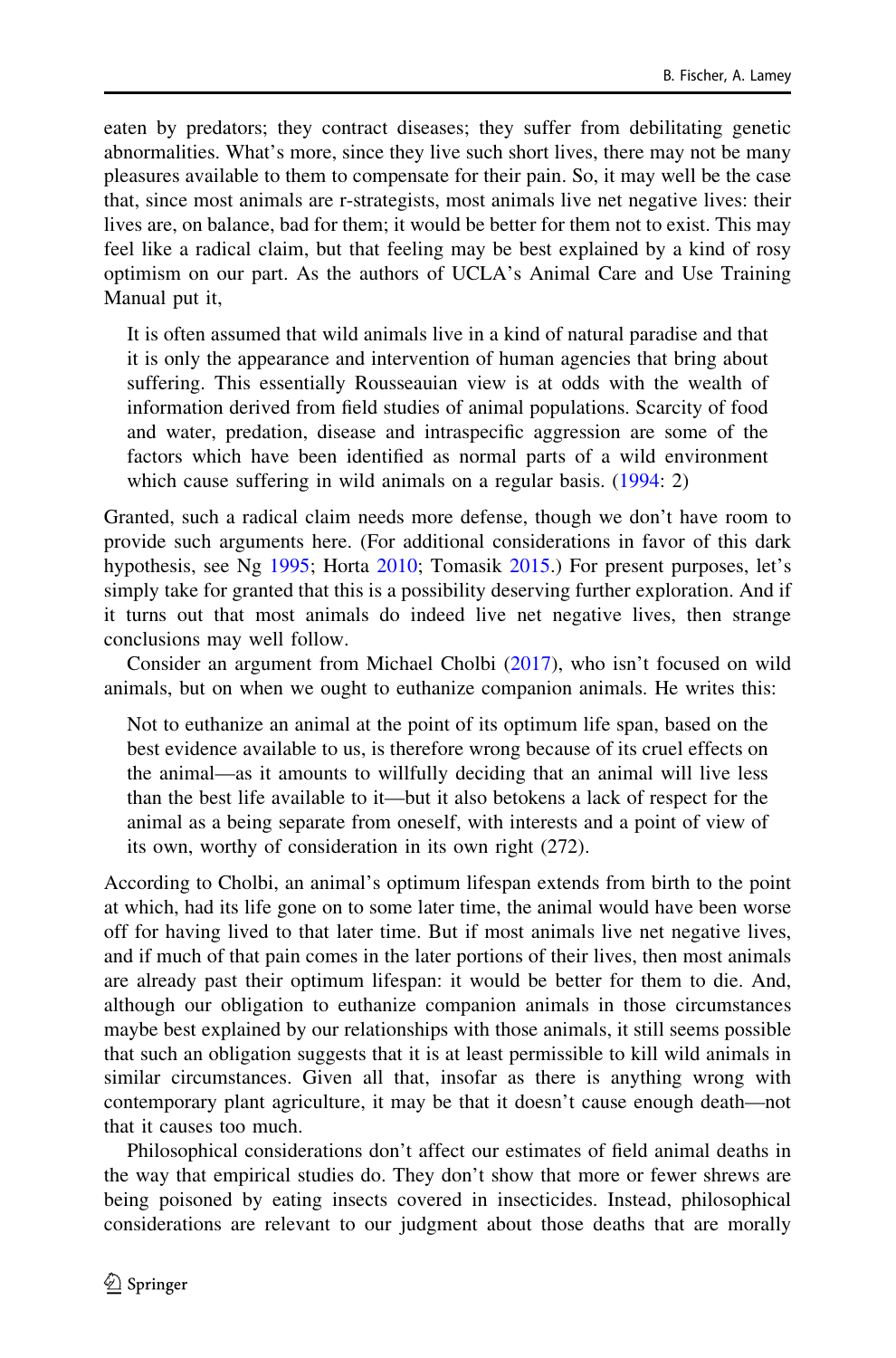eaten by predators; they contract diseases; they suffer from debilitating genetic abnormalities. What's more, since they live such short lives, there may not be many pleasures available to them to compensate for their pain. So, it may well be the case that, since most animals are r-strategists, most animals live net negative lives: their lives are, on balance, bad for them; it would be better for them not to exist. This may feel like a radical claim, but that feeling may be best explained by a kind of rosy optimism on our part. As the authors of UCLA's Animal Care and Use Training Manual put it,

It is often assumed that wild animals live in a kind of natural paradise and that it is only the appearance and intervention of human agencies that bring about suffering. This essentially Rousseauian view is at odds with the wealth of information derived from field studies of animal populations. Scarcity of food and water, predation, disease and intraspecific aggression are some of the factors which have been identified as normal parts of a wild environment which cause suffering in wild animals on a regular basis. ([1994:](#page-19-0) 2)

Granted, such a radical claim needs more defense, though we don't have room to provide such arguments here. (For additional considerations in favor of this dark hypothesis, see Ng [1995](#page-18-0); Horta [2010;](#page-18-0) Tomasik [2015](#page-19-0).) For present purposes, let's simply take for granted that this is a possibility deserving further exploration. And if it turns out that most animals do indeed live net negative lives, then strange conclusions may well follow.

Consider an argument from Michael Cholbi ([2017](#page-17-0)), who isn't focused on wild animals, but on when we ought to euthanize companion animals. He writes this:

Not to euthanize an animal at the point of its optimum life span, based on the best evidence available to us, is therefore wrong because of its cruel effects on the animal—as it amounts to willfully deciding that an animal will live less than the best life available to it—but it also betokens a lack of respect for the animal as a being separate from oneself, with interests and a point of view of its own, worthy of consideration in its own right (272).

According to Cholbi, an animal's optimum lifespan extends from birth to the point at which, had its life gone on to some later time, the animal would have been worse off for having lived to that later time. But if most animals live net negative lives, and if much of that pain comes in the later portions of their lives, then most animals are already past their optimum lifespan: it would be better for them to die. And, although our obligation to euthanize companion animals in those circumstances maybe best explained by our relationships with those animals, it still seems possible that such an obligation suggests that it is at least permissible to kill wild animals in similar circumstances. Given all that, insofar as there is anything wrong with contemporary plant agriculture, it may be that it doesn't cause enough death—not that it causes too much.

Philosophical considerations don't affect our estimates of field animal deaths in the way that empirical studies do. They don't show that more or fewer shrews are being poisoned by eating insects covered in insecticides. Instead, philosophical considerations are relevant to our judgment about those deaths that are morally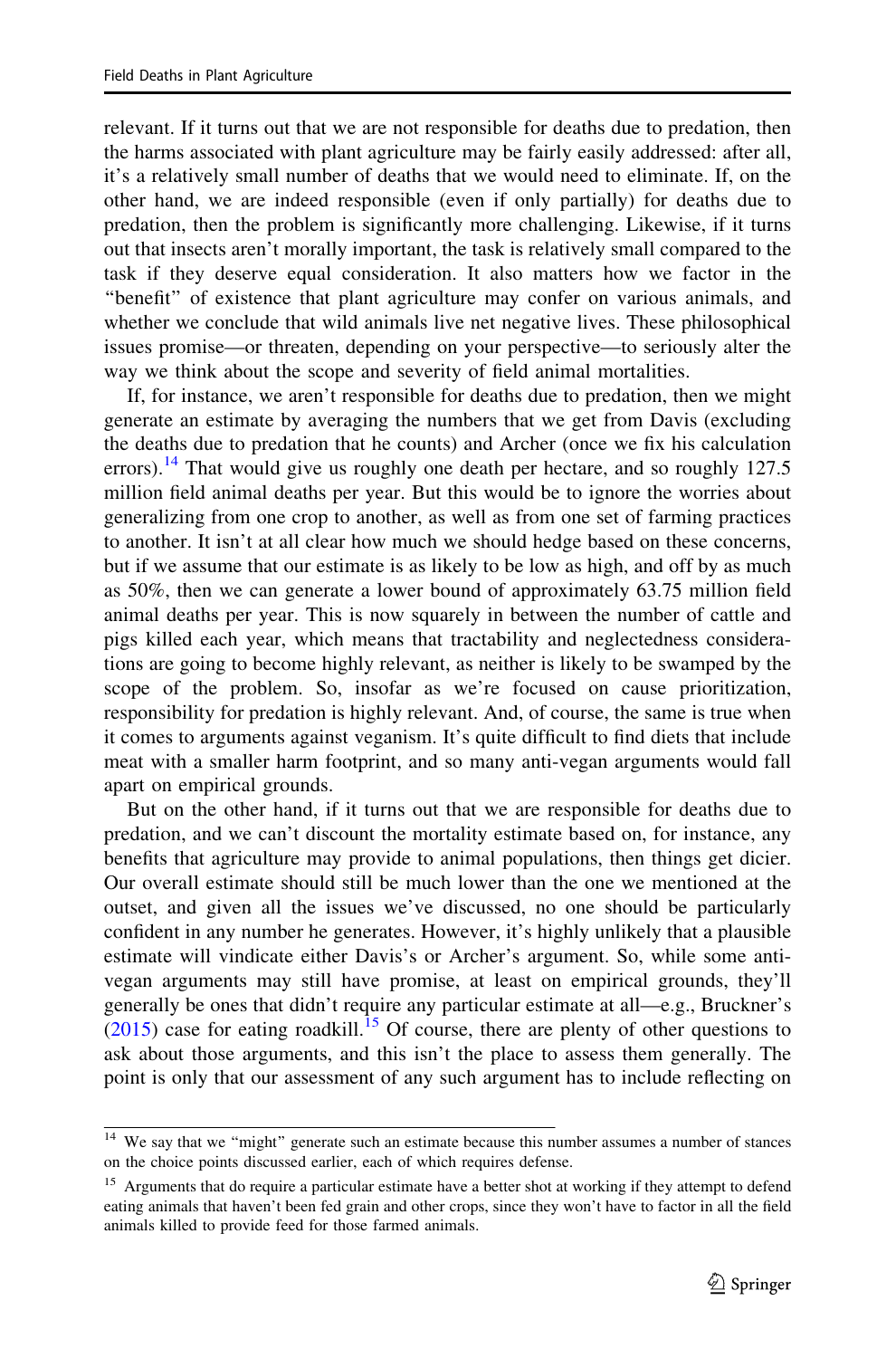relevant. If it turns out that we are not responsible for deaths due to predation, then the harms associated with plant agriculture may be fairly easily addressed: after all, it's a relatively small number of deaths that we would need to eliminate. If, on the other hand, we are indeed responsible (even if only partially) for deaths due to predation, then the problem is significantly more challenging. Likewise, if it turns out that insects aren't morally important, the task is relatively small compared to the task if they deserve equal consideration. It also matters how we factor in the ''benefit'' of existence that plant agriculture may confer on various animals, and whether we conclude that wild animals live net negative lives. These philosophical issues promise—or threaten, depending on your perspective—to seriously alter the way we think about the scope and severity of field animal mortalities.

If, for instance, we aren't responsible for deaths due to predation, then we might generate an estimate by averaging the numbers that we get from Davis (excluding the deaths due to predation that he counts) and Archer (once we fix his calculation errors).<sup>14</sup> That would give us roughly one death per hectare, and so roughly 127.5 million field animal deaths per year. But this would be to ignore the worries about generalizing from one crop to another, as well as from one set of farming practices to another. It isn't at all clear how much we should hedge based on these concerns, but if we assume that our estimate is as likely to be low as high, and off by as much as 50%, then we can generate a lower bound of approximately 63.75 million field animal deaths per year. This is now squarely in between the number of cattle and pigs killed each year, which means that tractability and neglectedness considerations are going to become highly relevant, as neither is likely to be swamped by the scope of the problem. So, insofar as we're focused on cause prioritization, responsibility for predation is highly relevant. And, of course, the same is true when it comes to arguments against veganism. It's quite difficult to find diets that include meat with a smaller harm footprint, and so many anti-vegan arguments would fall apart on empirical grounds.

But on the other hand, if it turns out that we are responsible for deaths due to predation, and we can't discount the mortality estimate based on, for instance, any benefits that agriculture may provide to animal populations, then things get dicier. Our overall estimate should still be much lower than the one we mentioned at the outset, and given all the issues we've discussed, no one should be particularly confident in any number he generates. However, it's highly unlikely that a plausible estimate will vindicate either Davis's or Archer's argument. So, while some antivegan arguments may still have promise, at least on empirical grounds, they'll generally be ones that didn't require any particular estimate at all—e.g., Bruckner's  $(2015)$  $(2015)$  case for eating roadkill.<sup>15</sup> Of course, there are plenty of other questions to ask about those arguments, and this isn't the place to assess them generally. The point is only that our assessment of any such argument has to include reflecting on

<sup>&</sup>lt;sup>14</sup> We say that we "might" generate such an estimate because this number assumes a number of stances on the choice points discussed earlier, each of which requires defense.

<sup>&</sup>lt;sup>15</sup> Arguments that do require a particular estimate have a better shot at working if they attempt to defend eating animals that haven't been fed grain and other crops, since they won't have to factor in all the field animals killed to provide feed for those farmed animals.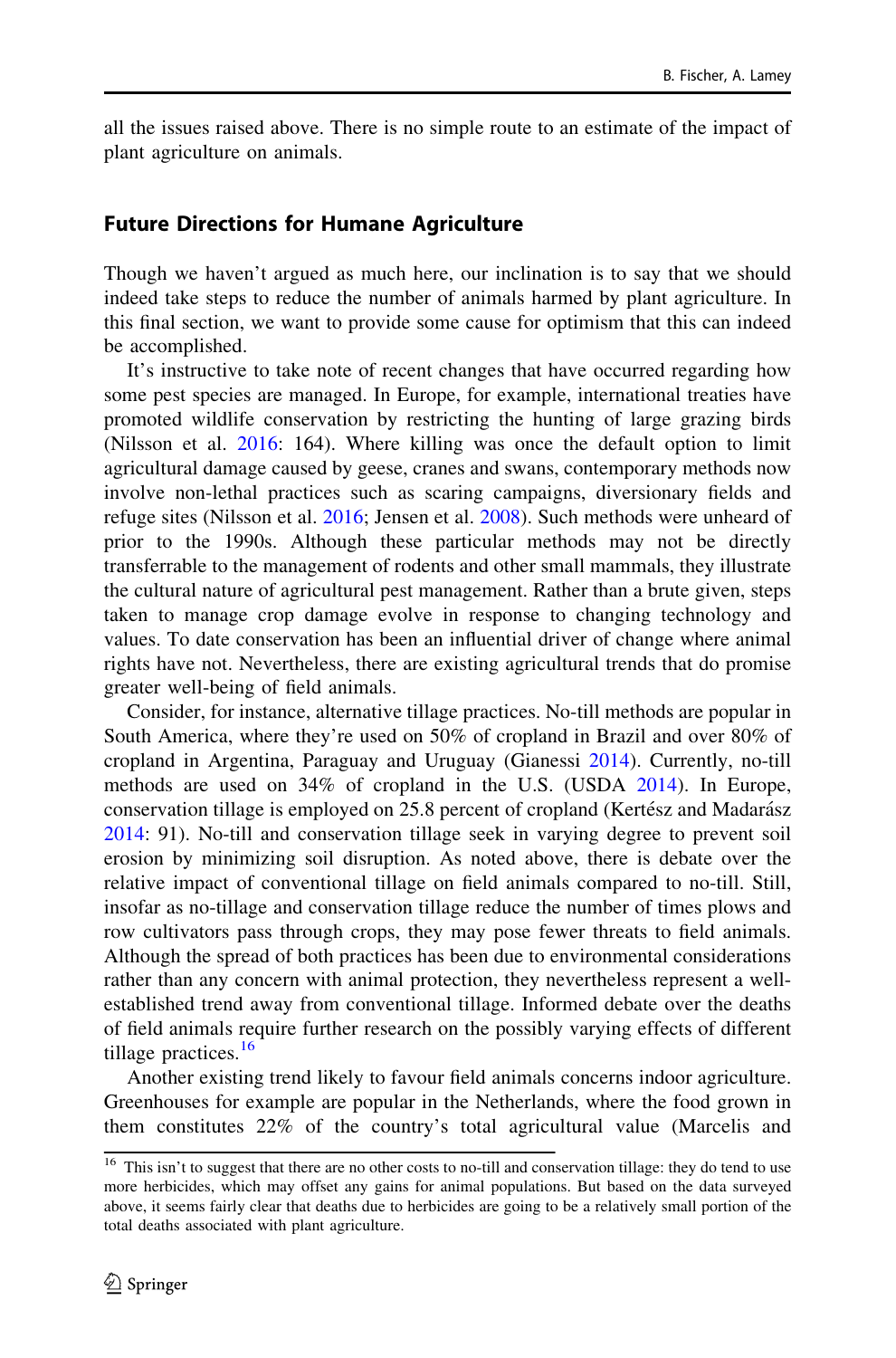all the issues raised above. There is no simple route to an estimate of the impact of plant agriculture on animals.

#### Future Directions for Humane Agriculture

Though we haven't argued as much here, our inclination is to say that we should indeed take steps to reduce the number of animals harmed by plant agriculture. In this final section, we want to provide some cause for optimism that this can indeed be accomplished.

It's instructive to take note of recent changes that have occurred regarding how some pest species are managed. In Europe, for example, international treaties have promoted wildlife conservation by restricting the hunting of large grazing birds (Nilsson et al. [2016](#page-18-0): 164). Where killing was once the default option to limit agricultural damage caused by geese, cranes and swans, contemporary methods now involve non-lethal practices such as scaring campaigns, diversionary fields and refuge sites (Nilsson et al. [2016](#page-18-0); Jensen et al. [2008](#page-18-0)). Such methods were unheard of prior to the 1990s. Although these particular methods may not be directly transferrable to the management of rodents and other small mammals, they illustrate the cultural nature of agricultural pest management. Rather than a brute given, steps taken to manage crop damage evolve in response to changing technology and values. To date conservation has been an influential driver of change where animal rights have not. Nevertheless, there are existing agricultural trends that do promise greater well-being of field animals.

Consider, for instance, alternative tillage practices. No-till methods are popular in South America, where they're used on 50% of cropland in Brazil and over 80% of cropland in Argentina, Paraguay and Uruguay (Gianessi [2014](#page-18-0)). Currently, no-till methods are used on 34% of cropland in the U.S. (USDA [2014](#page-19-0)). In Europe, conservation tillage is employed on 25.8 percent of cropland (Kertész and Madarász [2014:](#page-18-0) 91). No-till and conservation tillage seek in varying degree to prevent soil erosion by minimizing soil disruption. As noted above, there is debate over the relative impact of conventional tillage on field animals compared to no-till. Still, insofar as no-tillage and conservation tillage reduce the number of times plows and row cultivators pass through crops, they may pose fewer threats to field animals. Although the spread of both practices has been due to environmental considerations rather than any concern with animal protection, they nevertheless represent a wellestablished trend away from conventional tillage. Informed debate over the deaths of field animals require further research on the possibly varying effects of different tillage practices. $16$ 

Another existing trend likely to favour field animals concerns indoor agriculture. Greenhouses for example are popular in the Netherlands, where the food grown in them constitutes 22% of the country's total agricultural value (Marcelis and

<sup>&</sup>lt;sup>16</sup> This isn't to suggest that there are no other costs to no-till and conservation tillage: they do tend to use more herbicides, which may offset any gains for animal populations. But based on the data surveyed above, it seems fairly clear that deaths due to herbicides are going to be a relatively small portion of the total deaths associated with plant agriculture.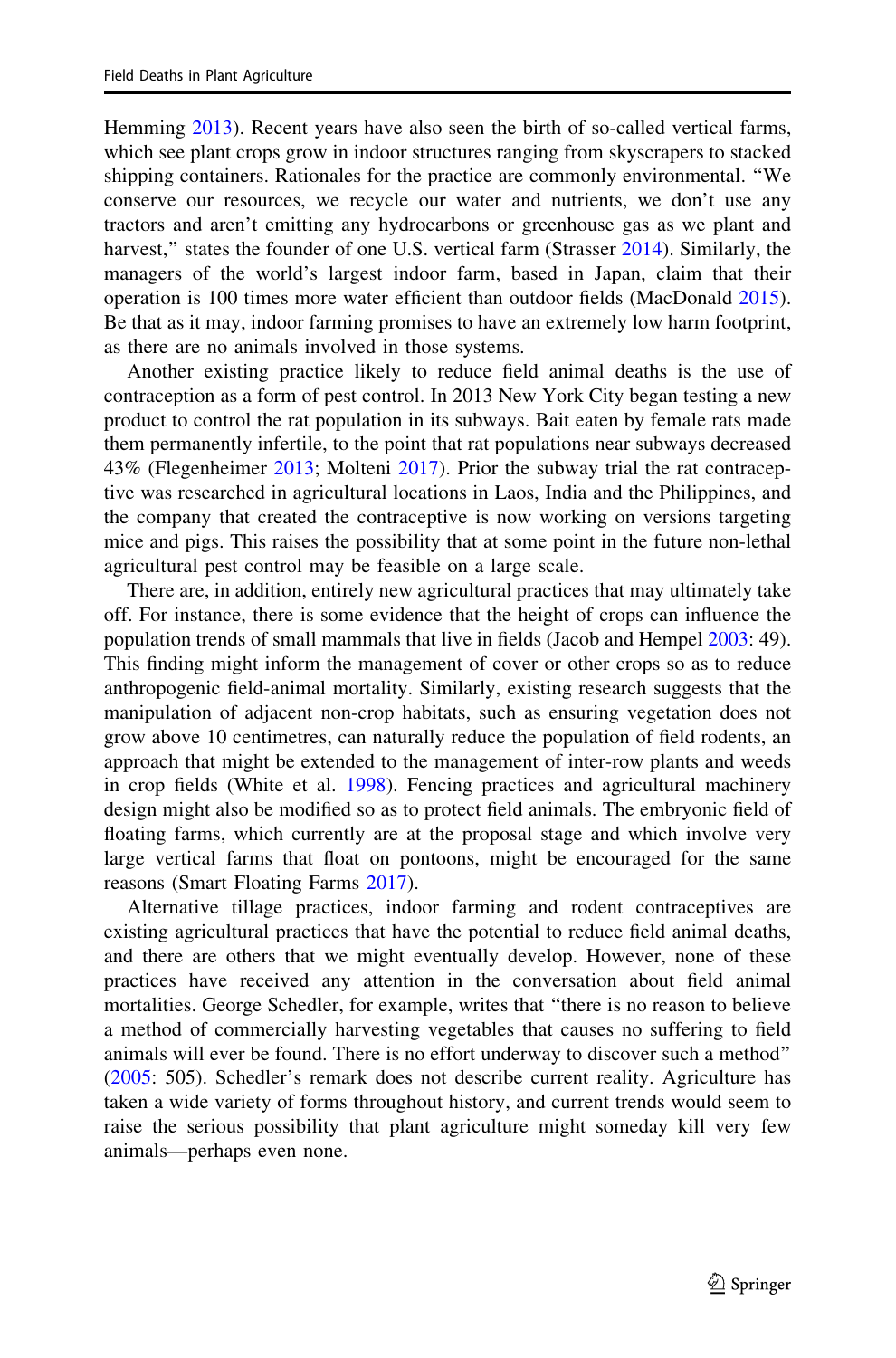Hemming [2013](#page-18-0)). Recent years have also seen the birth of so-called vertical farms, which see plant crops grow in indoor structures ranging from skyscrapers to stacked shipping containers. Rationales for the practice are commonly environmental. ''We conserve our resources, we recycle our water and nutrients, we don't use any tractors and aren't emitting any hydrocarbons or greenhouse gas as we plant and harvest," states the founder of one U.S. vertical farm (Strasser [2014](#page-19-0)). Similarly, the managers of the world's largest indoor farm, based in Japan, claim that their operation is 100 times more water efficient than outdoor fields (MacDonald [2015\)](#page-18-0). Be that as it may, indoor farming promises to have an extremely low harm footprint, as there are no animals involved in those systems.

Another existing practice likely to reduce field animal deaths is the use of contraception as a form of pest control. In 2013 New York City began testing a new product to control the rat population in its subways. Bait eaten by female rats made them permanently infertile, to the point that rat populations near subways decreased 43% (Flegenheimer [2013](#page-18-0); Molteni [2017](#page-18-0)). Prior the subway trial the rat contraceptive was researched in agricultural locations in Laos, India and the Philippines, and the company that created the contraceptive is now working on versions targeting mice and pigs. This raises the possibility that at some point in the future non-lethal agricultural pest control may be feasible on a large scale.

There are, in addition, entirely new agricultural practices that may ultimately take off. For instance, there is some evidence that the height of crops can influence the population trends of small mammals that live in fields (Jacob and Hempel [2003](#page-18-0): 49). This finding might inform the management of cover or other crops so as to reduce anthropogenic field-animal mortality. Similarly, existing research suggests that the manipulation of adjacent non-crop habitats, such as ensuring vegetation does not grow above 10 centimetres, can naturally reduce the population of field rodents, an approach that might be extended to the management of inter-row plants and weeds in crop fields (White et al. [1998\)](#page-19-0). Fencing practices and agricultural machinery design might also be modified so as to protect field animals. The embryonic field of floating farms, which currently are at the proposal stage and which involve very large vertical farms that float on pontoons, might be encouraged for the same reasons (Smart Floating Farms [2017\)](#page-19-0).

Alternative tillage practices, indoor farming and rodent contraceptives are existing agricultural practices that have the potential to reduce field animal deaths, and there are others that we might eventually develop. However, none of these practices have received any attention in the conversation about field animal mortalities. George Schedler, for example, writes that ''there is no reason to believe a method of commercially harvesting vegetables that causes no suffering to field animals will ever be found. There is no effort underway to discover such a method'' [\(2005](#page-19-0): 505). Schedler's remark does not describe current reality. Agriculture has taken a wide variety of forms throughout history, and current trends would seem to raise the serious possibility that plant agriculture might someday kill very few animals—perhaps even none.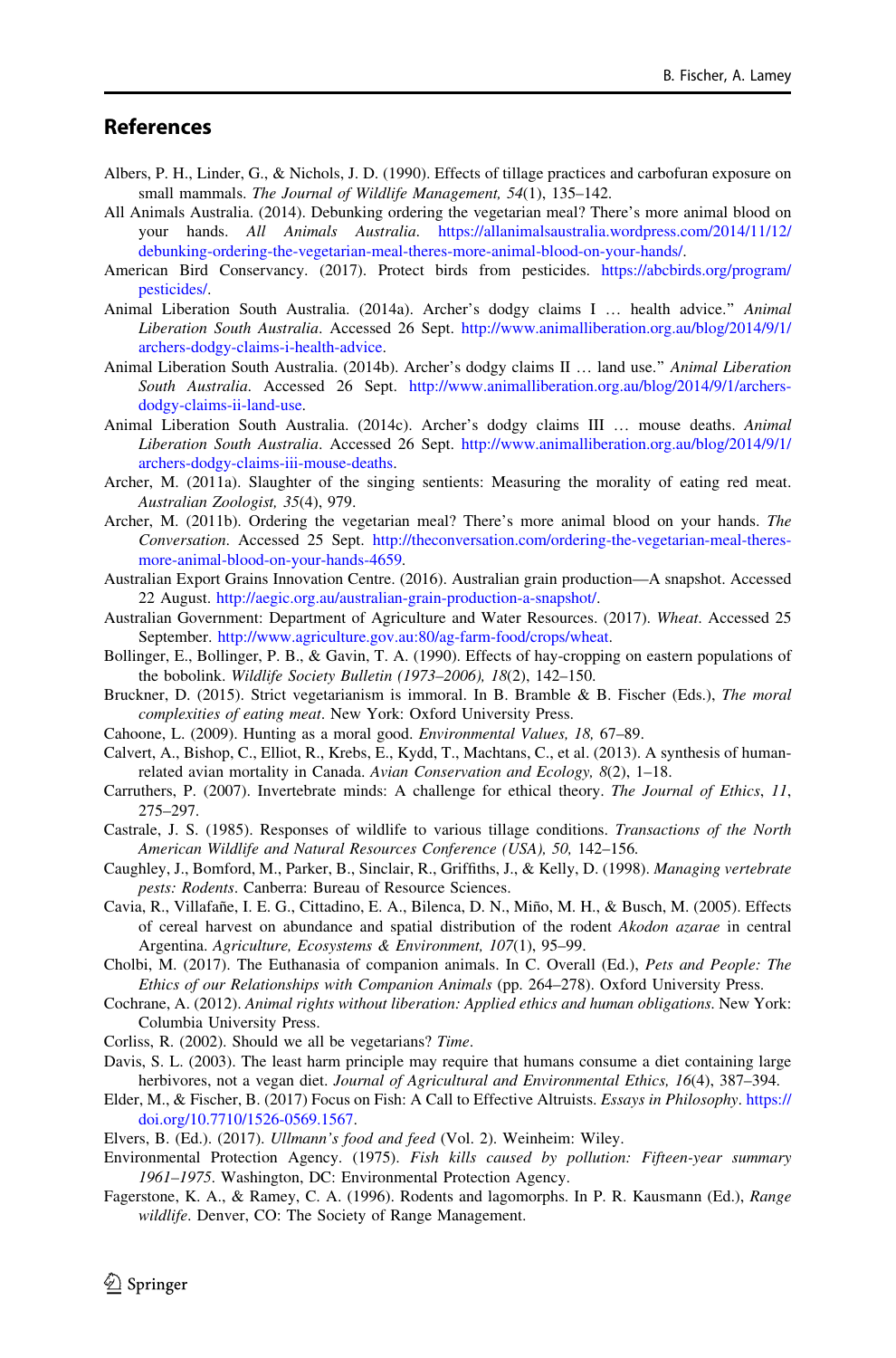### <span id="page-17-0"></span>References

- Albers, P. H., Linder, G., & Nichols, J. D. (1990). Effects of tillage practices and carbofuran exposure on small mammals. The Journal of Wildlife Management, 54(1), 135–142.
- All Animals Australia. (2014). Debunking ordering the vegetarian meal? There's more animal blood on your hands. All Animals Australia. [https://allanimalsaustralia.wordpress.com/2014/11/12/](https://allanimalsaustralia.wordpress.com/2014/11/12/debunking-ordering-the-vegetarian-meal-theres-more-animal-blood-on-your-hands/) [debunking-ordering-the-vegetarian-meal-theres-more-animal-blood-on-your-hands/.](https://allanimalsaustralia.wordpress.com/2014/11/12/debunking-ordering-the-vegetarian-meal-theres-more-animal-blood-on-your-hands/)
- American Bird Conservancy. (2017). Protect birds from pesticides. [https://abcbirds.org/program/](https://abcbirds.org/program/pesticides/) [pesticides/.](https://abcbirds.org/program/pesticides/)
- Animal Liberation South Australia. (2014a). Archer's dodgy claims I … health advice.'' Animal Liberation South Australia. Accessed 26 Sept. [http://www.animalliberation.org.au/blog/2014/9/1/](http://www.animalliberation.org.au/blog/2014/9/1/archers-dodgy-claims-i-health-advice) [archers-dodgy-claims-i-health-advice.](http://www.animalliberation.org.au/blog/2014/9/1/archers-dodgy-claims-i-health-advice)
- Animal Liberation South Australia. (2014b). Archer's dodgy claims II … land use.'' Animal Liberation South Australia. Accessed 26 Sept. [http://www.animalliberation.org.au/blog/2014/9/1/archers](http://www.animalliberation.org.au/blog/2014/9/1/archers-dodgy-claims-ii-land-use)[dodgy-claims-ii-land-use](http://www.animalliberation.org.au/blog/2014/9/1/archers-dodgy-claims-ii-land-use).
- Animal Liberation South Australia. (2014c). Archer's dodgy claims III … mouse deaths. Animal Liberation South Australia. Accessed 26 Sept. [http://www.animalliberation.org.au/blog/2014/9/1/](http://www.animalliberation.org.au/blog/2014/9/1/archers-dodgy-claims-iii-mouse-deaths) [archers-dodgy-claims-iii-mouse-deaths.](http://www.animalliberation.org.au/blog/2014/9/1/archers-dodgy-claims-iii-mouse-deaths)
- Archer, M. (2011a). Slaughter of the singing sentients: Measuring the morality of eating red meat. Australian Zoologist, 35(4), 979.
- Archer, M. (2011b). Ordering the vegetarian meal? There's more animal blood on your hands. The Conversation. Accessed 25 Sept. [http://theconversation.com/ordering-the-vegetarian-meal-theres](http://theconversation.com/ordering-the-vegetarian-meal-theres-more-animal-blood-on-your-hands-4659)[more-animal-blood-on-your-hands-4659](http://theconversation.com/ordering-the-vegetarian-meal-theres-more-animal-blood-on-your-hands-4659).
- Australian Export Grains Innovation Centre. (2016). Australian grain production—A snapshot. Accessed 22 August. [http://aegic.org.au/australian-grain-production-a-snapshot/.](http://aegic.org.au/australian-grain-production-a-snapshot/)
- Australian Government: Department of Agriculture and Water Resources. (2017). Wheat. Accessed 25 September. [http://www.agriculture.gov.au:80/ag-farm-food/crops/wheat.](http://www.agriculture.gov.au:80/ag-farm-food/crops/wheat)
- Bollinger, E., Bollinger, P. B., & Gavin, T. A. (1990). Effects of hay-cropping on eastern populations of the bobolink. Wildlife Society Bulletin (1973–2006), 18(2), 142–150.
- Bruckner, D. (2015). Strict vegetarianism is immoral. In B. Bramble & B. Fischer (Eds.), The moral complexities of eating meat. New York: Oxford University Press.
- Cahoone, L. (2009). Hunting as a moral good. Environmental Values, 18, 67–89.
- Calvert, A., Bishop, C., Elliot, R., Krebs, E., Kydd, T., Machtans, C., et al. (2013). A synthesis of humanrelated avian mortality in Canada. Avian Conservation and Ecology, 8(2), 1–18.
- Carruthers, P. (2007). Invertebrate minds: A challenge for ethical theory. The Journal of Ethics, 11, 275–297.
- Castrale, J. S. (1985). Responses of wildlife to various tillage conditions. Transactions of the North American Wildlife and Natural Resources Conference (USA), 50, 142–156.
- Caughley, J., Bomford, M., Parker, B., Sinclair, R., Griffiths, J., & Kelly, D. (1998). Managing vertebrate pests: Rodents. Canberra: Bureau of Resource Sciences.
- Cavia, R., Villafañe, I. E. G., Cittadino, E. A., Bilenca, D. N., Miño, M. H., & Busch, M. (2005). Effects of cereal harvest on abundance and spatial distribution of the rodent Akodon azarae in central Argentina. Agriculture, Ecosystems & Environment, 107(1), 95–99.
- Cholbi, M. (2017). The Euthanasia of companion animals. In C. Overall (Ed.), Pets and People: The Ethics of our Relationships with Companion Animals (pp. 264–278). Oxford University Press.
- Cochrane, A. (2012). Animal rights without liberation: Applied ethics and human obligations. New York: Columbia University Press.
- Corliss, R. (2002). Should we all be vegetarians? Time.
- Davis, S. L. (2003). The least harm principle may require that humans consume a diet containing large herbivores, not a vegan diet. Journal of Agricultural and Environmental Ethics, 16(4), 387–394.
- Elder, M., & Fischer, B. (2017) Focus on Fish: A Call to Effective Altruists. Essays in Philosophy. [https://](https://doi.org/10.7710/1526-0569.1567) [doi.org/10.7710/1526-0569.1567](https://doi.org/10.7710/1526-0569.1567).
- Elvers, B. (Ed.). (2017). *Ullmann's food and feed* (Vol. 2). Weinheim: Wiley.
- Environmental Protection Agency. (1975). Fish kills caused by pollution: Fifteen-year summary 1961–1975. Washington, DC: Environmental Protection Agency.
- Fagerstone, K. A., & Ramey, C. A. (1996). Rodents and lagomorphs. In P. R. Kausmann (Ed.), Range wildlife. Denver, CO: The Society of Range Management.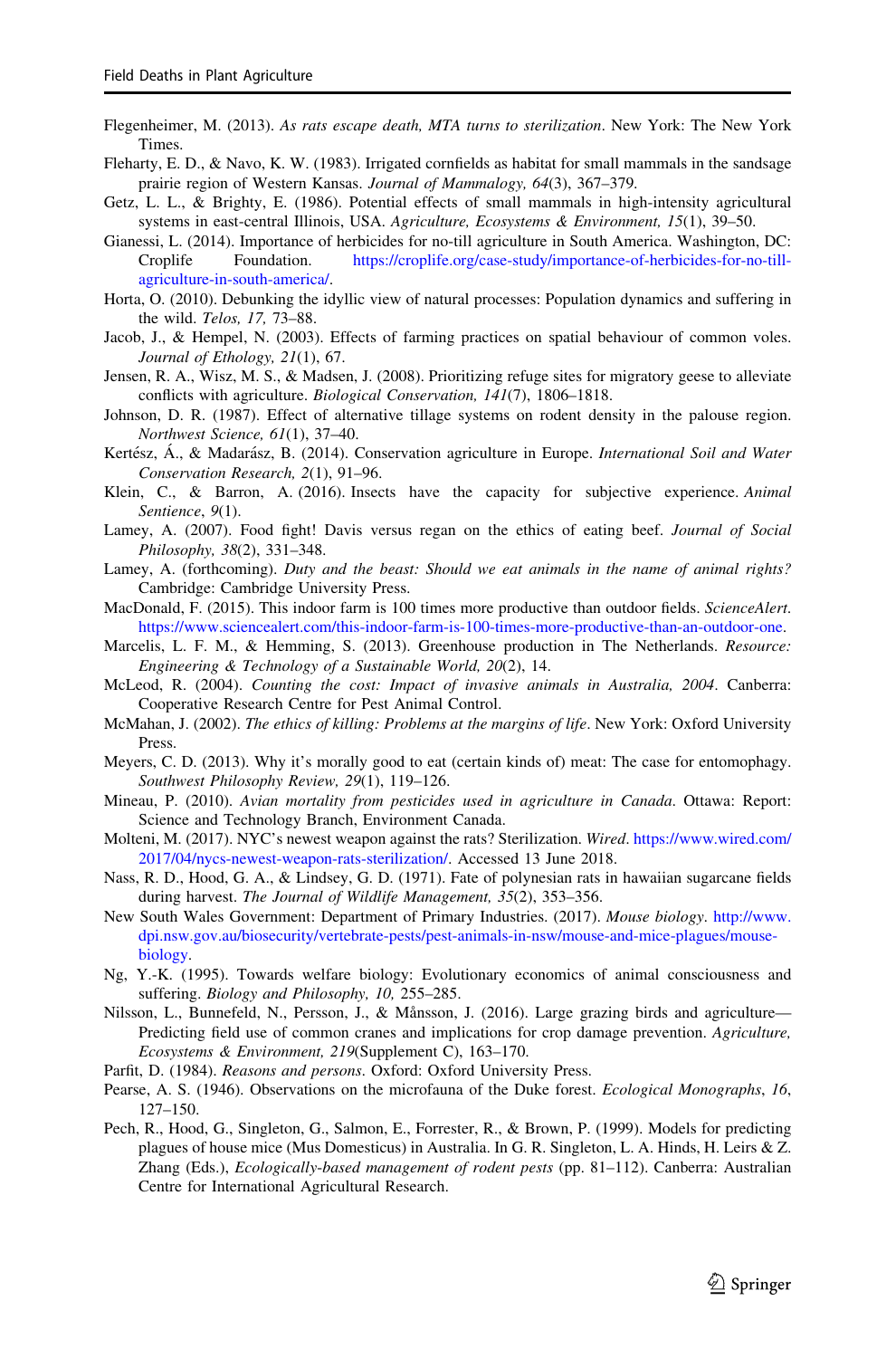- <span id="page-18-0"></span>Flegenheimer, M. (2013). As rats escape death, MTA turns to sterilization. New York: The New York Times.
- Fleharty, E. D., & Navo, K. W. (1983). Irrigated cornfields as habitat for small mammals in the sandsage prairie region of Western Kansas. Journal of Mammalogy, 64(3), 367–379.
- Getz, L. L., & Brighty, E. (1986). Potential effects of small mammals in high-intensity agricultural systems in east-central Illinois, USA. Agriculture, Ecosystems & Environment, 15(1), 39–50.
- Gianessi, L. (2014). Importance of herbicides for no-till agriculture in South America. Washington, DC: Croplife Foundation. [https://croplife.org/case-study/importance-of-herbicides-for-no-till](https://croplife.org/case-study/importance-of-herbicides-for-no-till-agriculture-in-south-america/)[agriculture-in-south-america/.](https://croplife.org/case-study/importance-of-herbicides-for-no-till-agriculture-in-south-america/)
- Horta, O. (2010). Debunking the idyllic view of natural processes: Population dynamics and suffering in the wild. Telos, 17, 73–88.
- Jacob, J., & Hempel, N. (2003). Effects of farming practices on spatial behaviour of common voles. Journal of Ethology, 21(1), 67.
- Jensen, R. A., Wisz, M. S., & Madsen, J. (2008). Prioritizing refuge sites for migratory geese to alleviate conflicts with agriculture. Biological Conservation, 141(7), 1806–1818.
- Johnson, D. R. (1987). Effect of alternative tillage systems on rodent density in the palouse region. Northwest Science, 61(1), 37–40.
- Kertész, Á., & Madarász, B. (2014). Conservation agriculture in Europe. International Soil and Water Conservation Research, 2(1), 91–96.
- Klein, C., & Barron, A. (2016). Insects have the capacity for subjective experience. Animal Sentience, 9(1).
- Lamey, A. (2007). Food fight! Davis versus regan on the ethics of eating beef. Journal of Social Philosophy, 38(2), 331–348.
- Lamey, A. (forthcoming). Duty and the beast: Should we eat animals in the name of animal rights? Cambridge: Cambridge University Press.
- MacDonald, F. (2015). This indoor farm is 100 times more productive than outdoor fields. ScienceAlert. <https://www.sciencealert.com/this-indoor-farm-is-100-times-more-productive-than-an-outdoor-one>.
- Marcelis, L. F. M., & Hemming, S. (2013). Greenhouse production in The Netherlands. Resource: Engineering & Technology of a Sustainable World, 20(2), 14.
- McLeod, R. (2004). Counting the cost: Impact of invasive animals in Australia, 2004. Canberra: Cooperative Research Centre for Pest Animal Control.
- McMahan, J. (2002). The ethics of killing: Problems at the margins of life. New York: Oxford University Press.
- Meyers, C. D. (2013). Why it's morally good to eat (certain kinds of) meat: The case for entomophagy. Southwest Philosophy Review, 29(1), 119–126.
- Mineau, P. (2010). Avian mortality from pesticides used in agriculture in Canada. Ottawa: Report: Science and Technology Branch, Environment Canada.
- Molteni, M. (2017). NYC's newest weapon against the rats? Sterilization. Wired. [https://www.wired.com/](https://www.wired.com/2017/04/nycs-newest-weapon-rats-sterilization/) [2017/04/nycs-newest-weapon-rats-sterilization/.](https://www.wired.com/2017/04/nycs-newest-weapon-rats-sterilization/) Accessed 13 June 2018.
- Nass, R. D., Hood, G. A., & Lindsey, G. D. (1971). Fate of polynesian rats in hawaiian sugarcane fields during harvest. The Journal of Wildlife Management, 35(2), 353–356.
- New South Wales Government: Department of Primary Industries. (2017). Mouse biology. [http://www.](http://www.dpi.nsw.gov.au/biosecurity/vertebrate-pests/pest-animals-in-nsw/mouse-and-mice-plagues/mouse-biology) [dpi.nsw.gov.au/biosecurity/vertebrate-pests/pest-animals-in-nsw/mouse-and-mice-plagues/mouse](http://www.dpi.nsw.gov.au/biosecurity/vertebrate-pests/pest-animals-in-nsw/mouse-and-mice-plagues/mouse-biology)[biology](http://www.dpi.nsw.gov.au/biosecurity/vertebrate-pests/pest-animals-in-nsw/mouse-and-mice-plagues/mouse-biology).
- Ng, Y.-K. (1995). Towards welfare biology: Evolutionary economics of animal consciousness and suffering. Biology and Philosophy, 10, 255–285.
- Nilsson, L., Bunnefeld, N., Persson, J., & Månsson, J. (2016). Large grazing birds and agriculture— Predicting field use of common cranes and implications for crop damage prevention. Agriculture, Ecosystems & Environment, 219(Supplement C), 163–170.
- Parfit, D. (1984). Reasons and persons. Oxford: Oxford University Press.
- Pearse, A. S. (1946). Observations on the microfauna of the Duke forest. Ecological Monographs, 16, 127–150.
- Pech, R., Hood, G., Singleton, G., Salmon, E., Forrester, R., & Brown, P. (1999). Models for predicting plagues of house mice (Mus Domesticus) in Australia. In G. R. Singleton, L. A. Hinds, H. Leirs & Z. Zhang (Eds.), Ecologically-based management of rodent pests (pp. 81–112). Canberra: Australian Centre for International Agricultural Research.